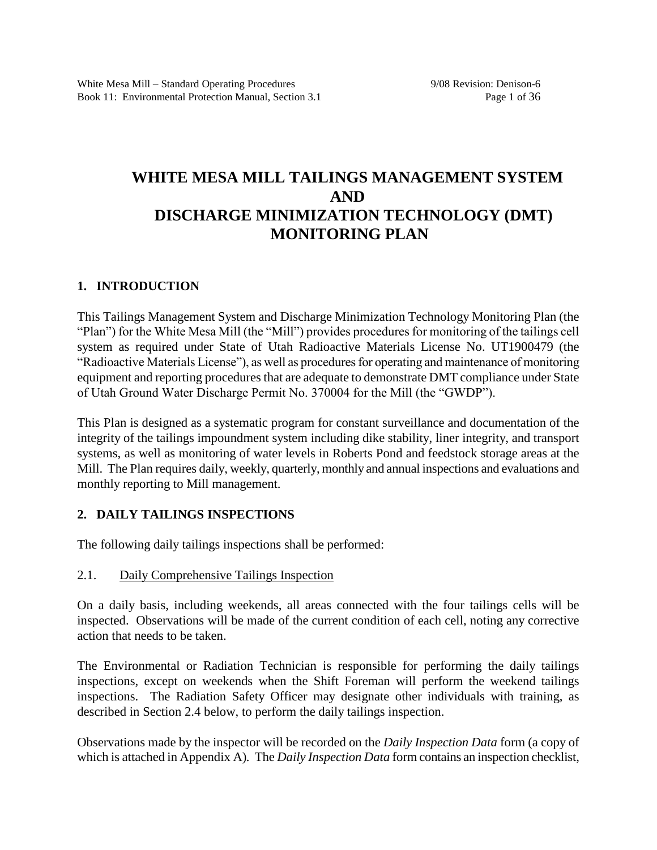# **WHITE MESA MILL TAILINGS MANAGEMENT SYSTEM AND DISCHARGE MINIMIZATION TECHNOLOGY (DMT) MONITORING PLAN**

# **1. INTRODUCTION**

This Tailings Management System and Discharge Minimization Technology Monitoring Plan (the "Plan") for the White Mesa Mill (the "Mill") provides procedures for monitoring of the tailings cell system as required under State of Utah Radioactive Materials License No. UT1900479 (the "Radioactive Materials License"), as well as procedures for operating and maintenance of monitoring equipment and reporting procedures that are adequate to demonstrate DMT compliance under State of Utah Ground Water Discharge Permit No. 370004 for the Mill (the "GWDP").

This Plan is designed as a systematic program for constant surveillance and documentation of the integrity of the tailings impoundment system including dike stability, liner integrity, and transport systems, as well as monitoring of water levels in Roberts Pond and feedstock storage areas at the Mill. The Plan requires daily, weekly, quarterly, monthly and annual inspections and evaluations and monthly reporting to Mill management.

# **2. DAILY TAILINGS INSPECTIONS**

The following daily tailings inspections shall be performed:

# 2.1. Daily Comprehensive Tailings Inspection

On a daily basis, including weekends, all areas connected with the four tailings cells will be inspected. Observations will be made of the current condition of each cell, noting any corrective action that needs to be taken.

The Environmental or Radiation Technician is responsible for performing the daily tailings inspections, except on weekends when the Shift Foreman will perform the weekend tailings inspections. The Radiation Safety Officer may designate other individuals with training, as described in Section 2.4 below, to perform the daily tailings inspection.

Observations made by the inspector will be recorded on the *Daily Inspection Data* form (a copy of which is attached in Appendix A)*.* The *Daily Inspection Data* form contains an inspection checklist,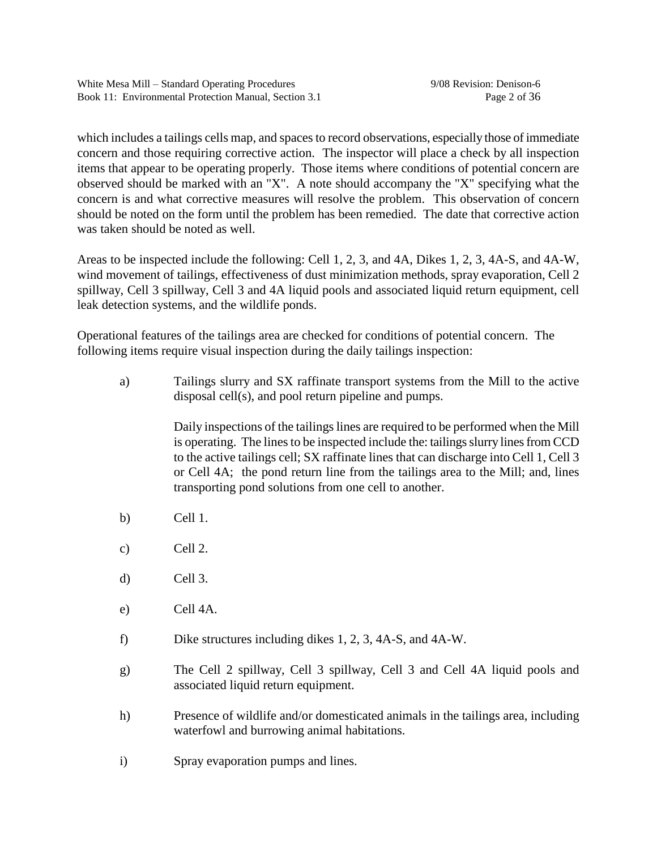which includes a tailings cells map, and spaces to record observations, especially those of immediate concern and those requiring corrective action. The inspector will place a check by all inspection items that appear to be operating properly. Those items where conditions of potential concern are observed should be marked with an "X". A note should accompany the "X" specifying what the concern is and what corrective measures will resolve the problem. This observation of concern should be noted on the form until the problem has been remedied. The date that corrective action was taken should be noted as well.

Areas to be inspected include the following: Cell 1, 2, 3, and 4A, Dikes 1, 2, 3, 4A-S, and 4A-W, wind movement of tailings, effectiveness of dust minimization methods, spray evaporation, Cell 2 spillway, Cell 3 spillway, Cell 3 and 4A liquid pools and associated liquid return equipment, cell leak detection systems, and the wildlife ponds.

Operational features of the tailings area are checked for conditions of potential concern. The following items require visual inspection during the daily tailings inspection:

a) Tailings slurry and SX raffinate transport systems from the Mill to the active disposal cell(s), and pool return pipeline and pumps.

> Daily inspections of the tailings lines are required to be performed when the Mill is operating. The lines to be inspected include the: tailings slurry lines from CCD to the active tailings cell; SX raffinate lines that can discharge into Cell 1, Cell 3 or Cell 4A; the pond return line from the tailings area to the Mill; and, lines transporting pond solutions from one cell to another.

- b) Cell 1.
- c) Cell 2.
- d) Cell 3.
- e) Cell 4A.
- f) Dike structures including dikes 1, 2, 3, 4A-S, and 4A-W.
- g) The Cell 2 spillway, Cell 3 spillway, Cell 3 and Cell 4A liquid pools and associated liquid return equipment.
- h) Presence of wildlife and/or domesticated animals in the tailings area, including waterfowl and burrowing animal habitations.
- i) Spray evaporation pumps and lines.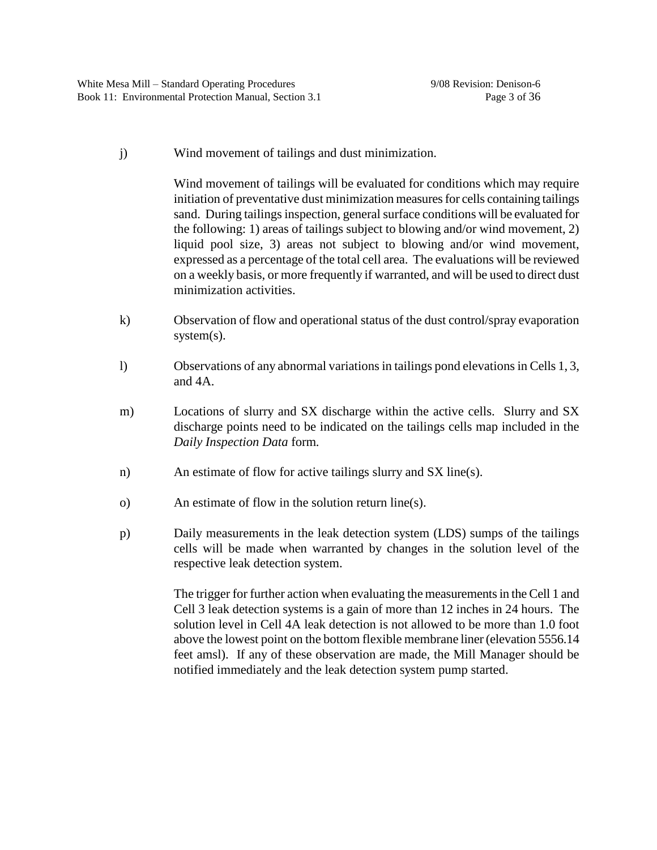j) Wind movement of tailings and dust minimization.

Wind movement of tailings will be evaluated for conditions which may require initiation of preventative dust minimization measures for cells containing tailings sand. During tailings inspection, general surface conditions will be evaluated for the following: 1) areas of tailings subject to blowing and/or wind movement, 2) liquid pool size, 3) areas not subject to blowing and/or wind movement, expressed as a percentage of the total cell area. The evaluations will be reviewed on a weekly basis, or more frequently if warranted, and will be used to direct dust minimization activities.

- k) Observation of flow and operational status of the dust control/spray evaporation system(s).
- l) Observations of any abnormal variations in tailings pond elevations in Cells 1, 3, and 4A.
- m) Locations of slurry and SX discharge within the active cells. Slurry and SX discharge points need to be indicated on the tailings cells map included in the *Daily Inspection Data* form*.*
- n) An estimate of flow for active tailings slurry and SX line(s).
- o) An estimate of flow in the solution return line(s).
- p) Daily measurements in the leak detection system (LDS) sumps of the tailings cells will be made when warranted by changes in the solution level of the respective leak detection system.

The trigger for further action when evaluating the measurements in the Cell 1 and Cell 3 leak detection systems is a gain of more than 12 inches in 24 hours. The solution level in Cell 4A leak detection is not allowed to be more than 1.0 foot above the lowest point on the bottom flexible membrane liner (elevation 5556.14 feet amsl). If any of these observation are made, the Mill Manager should be notified immediately and the leak detection system pump started.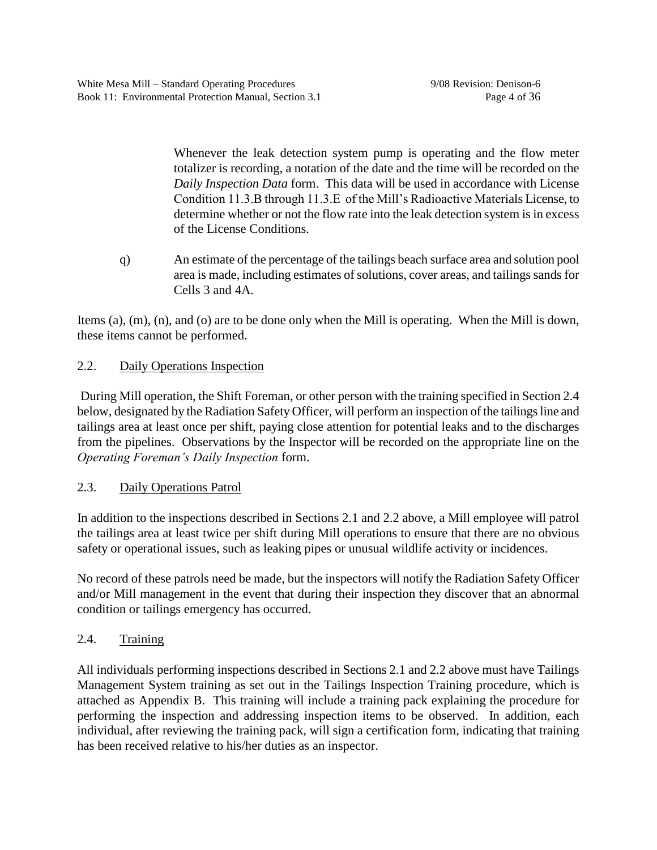Whenever the leak detection system pump is operating and the flow meter totalizer is recording, a notation of the date and the time will be recorded on the *Daily Inspection Data* form. This data will be used in accordance with License Condition 11.3.B through 11.3.E of the Mill's Radioactive Materials License, to determine whether or not the flow rate into the leak detection system is in excess of the License Conditions.

q) An estimate of the percentage of the tailings beach surface area and solution pool area is made, including estimates of solutions, cover areas, and tailings sands for Cells 3 and 4A.

Items (a), (m), (n), and (o) are to be done only when the Mill is operating. When the Mill is down, these items cannot be performed.

# 2.2. Daily Operations Inspection

During Mill operation, the Shift Foreman, or other person with the training specified in Section 2.4 below, designated by the Radiation Safety Officer, will perform an inspection of the tailings line and tailings area at least once per shift, paying close attention for potential leaks and to the discharges from the pipelines. Observations by the Inspector will be recorded on the appropriate line on the *Operating Foreman's Daily Inspection* form.

# 2.3. Daily Operations Patrol

In addition to the inspections described in Sections 2.1 and 2.2 above, a Mill employee will patrol the tailings area at least twice per shift during Mill operations to ensure that there are no obvious safety or operational issues, such as leaking pipes or unusual wildlife activity or incidences.

No record of these patrols need be made, but the inspectors will notify the Radiation Safety Officer and/or Mill management in the event that during their inspection they discover that an abnormal condition or tailings emergency has occurred.

# 2.4. Training

All individuals performing inspections described in Sections 2.1 and 2.2 above must have Tailings Management System training as set out in the Tailings Inspection Training procedure, which is attached as Appendix B. This training will include a training pack explaining the procedure for performing the inspection and addressing inspection items to be observed. In addition, each individual, after reviewing the training pack, will sign a certification form, indicating that training has been received relative to his/her duties as an inspector.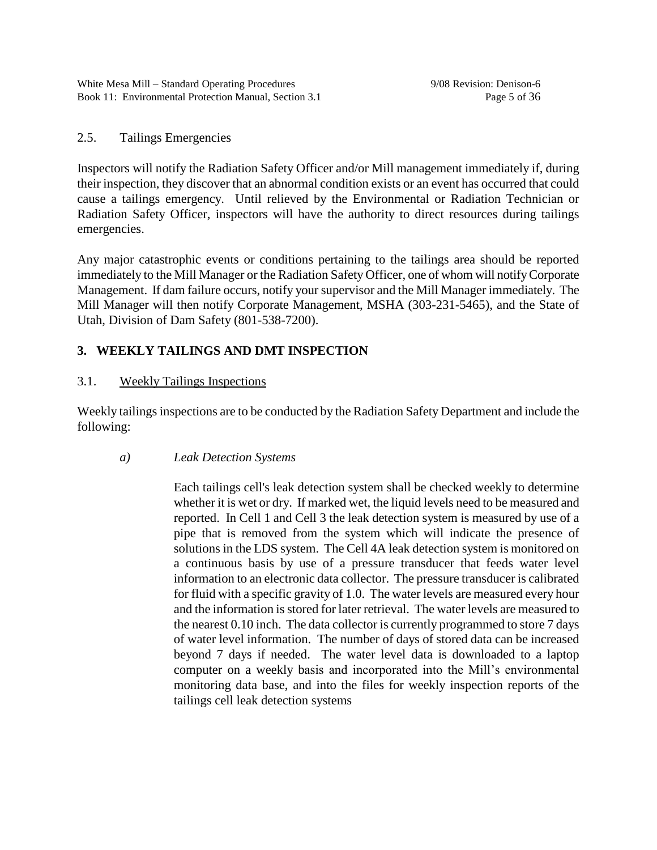# 2.5. Tailings Emergencies

Inspectors will notify the Radiation Safety Officer and/or Mill management immediately if, during their inspection, they discover that an abnormal condition exists or an event has occurred that could cause a tailings emergency. Until relieved by the Environmental or Radiation Technician or Radiation Safety Officer, inspectors will have the authority to direct resources during tailings emergencies.

Any major catastrophic events or conditions pertaining to the tailings area should be reported immediately to the Mill Manager or the Radiation Safety Officer, one of whom will notify Corporate Management. If dam failure occurs, notify your supervisor and the Mill Manager immediately. The Mill Manager will then notify Corporate Management, MSHA (303-231-5465), and the State of Utah, Division of Dam Safety (801-538-7200).

# **3. WEEKLY TAILINGS AND DMT INSPECTION**

# 3.1. Weekly Tailings Inspections

Weekly tailings inspections are to be conducted by the Radiation Safety Department and include the following:

# *a) Leak Detection Systems*

Each tailings cell's leak detection system shall be checked weekly to determine whether it is wet or dry. If marked wet, the liquid levels need to be measured and reported. In Cell 1 and Cell 3 the leak detection system is measured by use of a pipe that is removed from the system which will indicate the presence of solutions in the LDS system. The Cell 4A leak detection system is monitored on a continuous basis by use of a pressure transducer that feeds water level information to an electronic data collector. The pressure transducer is calibrated for fluid with a specific gravity of 1.0. The water levels are measured every hour and the information is stored for later retrieval. The water levels are measured to the nearest 0.10 inch. The data collector is currently programmed to store 7 days of water level information. The number of days of stored data can be increased beyond 7 days if needed. The water level data is downloaded to a laptop computer on a weekly basis and incorporated into the Mill's environmental monitoring data base, and into the files for weekly inspection reports of the tailings cell leak detection systems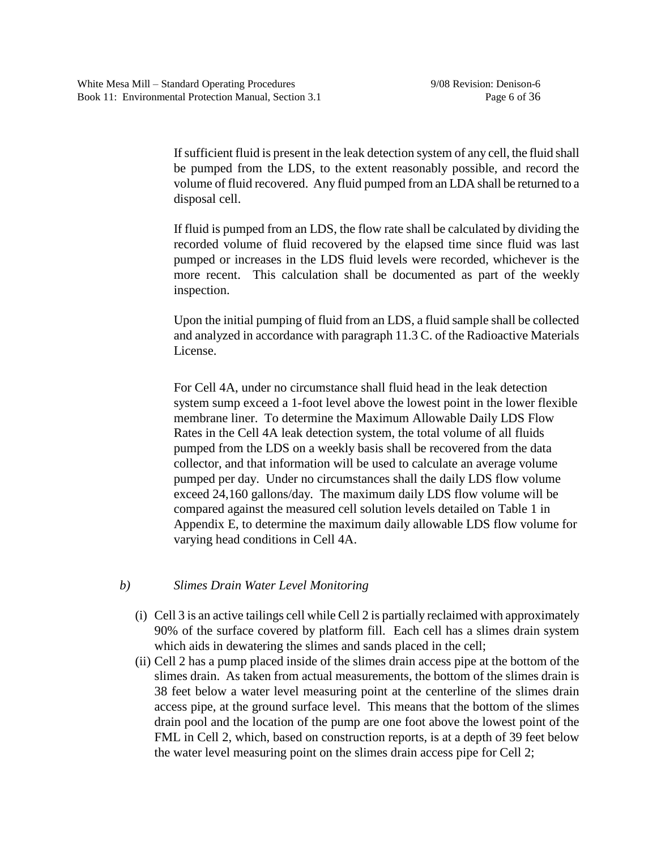If sufficient fluid is present in the leak detection system of any cell, the fluid shall be pumped from the LDS, to the extent reasonably possible, and record the volume of fluid recovered. Any fluid pumped from an LDA shall be returned to a disposal cell.

If fluid is pumped from an LDS, the flow rate shall be calculated by dividing the recorded volume of fluid recovered by the elapsed time since fluid was last pumped or increases in the LDS fluid levels were recorded, whichever is the more recent. This calculation shall be documented as part of the weekly inspection.

Upon the initial pumping of fluid from an LDS, a fluid sample shall be collected and analyzed in accordance with paragraph 11.3 C. of the Radioactive Materials License.

For Cell 4A, under no circumstance shall fluid head in the leak detection system sump exceed a 1-foot level above the lowest point in the lower flexible membrane liner. To determine the Maximum Allowable Daily LDS Flow Rates in the Cell 4A leak detection system, the total volume of all fluids pumped from the LDS on a weekly basis shall be recovered from the data collector, and that information will be used to calculate an average volume pumped per day. Under no circumstances shall the daily LDS flow volume exceed 24,160 gallons/day. The maximum daily LDS flow volume will be compared against the measured cell solution levels detailed on Table 1 in Appendix E, to determine the maximum daily allowable LDS flow volume for varying head conditions in Cell 4A.

# *b) Slimes Drain Water Level Monitoring*

- (i) Cell 3 is an active tailings cell while Cell 2 is partially reclaimed with approximately 90% of the surface covered by platform fill. Each cell has a slimes drain system which aids in dewatering the slimes and sands placed in the cell;
- (ii) Cell 2 has a pump placed inside of the slimes drain access pipe at the bottom of the slimes drain. As taken from actual measurements, the bottom of the slimes drain is 38 feet below a water level measuring point at the centerline of the slimes drain access pipe, at the ground surface level. This means that the bottom of the slimes drain pool and the location of the pump are one foot above the lowest point of the FML in Cell 2, which, based on construction reports, is at a depth of 39 feet below the water level measuring point on the slimes drain access pipe for Cell 2;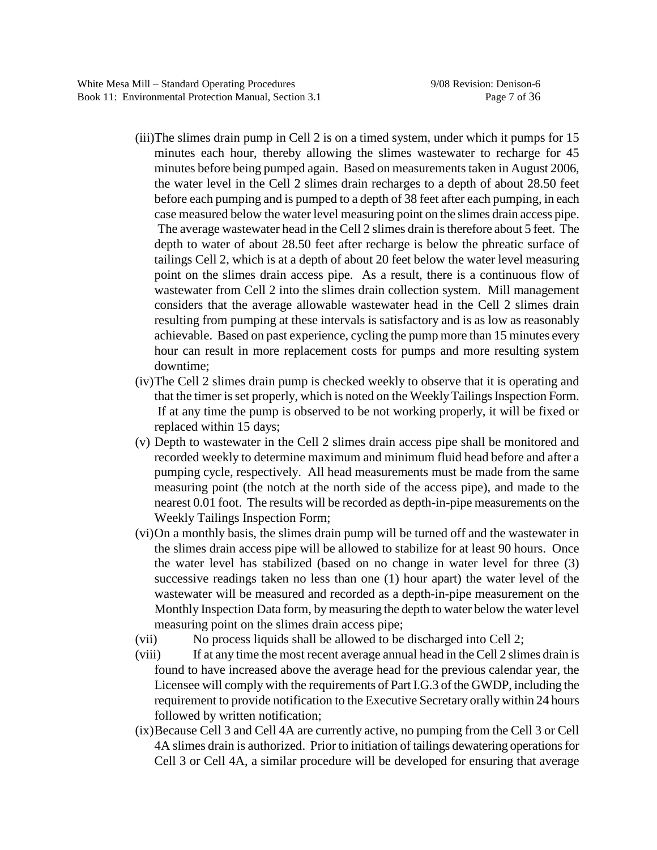- (iii)The slimes drain pump in Cell 2 is on a timed system, under which it pumps for 15 minutes each hour, thereby allowing the slimes wastewater to recharge for 45 minutes before being pumped again. Based on measurements taken in August 2006, the water level in the Cell 2 slimes drain recharges to a depth of about 28.50 feet before each pumping and is pumped to a depth of 38 feet after each pumping, in each case measured below the water level measuring point on the slimes drain access pipe. The average wastewater head in the Cell 2 slimes drain is therefore about 5 feet. The depth to water of about 28.50 feet after recharge is below the phreatic surface of tailings Cell 2, which is at a depth of about 20 feet below the water level measuring point on the slimes drain access pipe. As a result, there is a continuous flow of wastewater from Cell 2 into the slimes drain collection system. Mill management considers that the average allowable wastewater head in the Cell 2 slimes drain resulting from pumping at these intervals is satisfactory and is as low as reasonably achievable. Based on past experience, cycling the pump more than 15 minutes every hour can result in more replacement costs for pumps and more resulting system downtime;
- (iv)The Cell 2 slimes drain pump is checked weekly to observe that it is operating and that the timer is set properly, which is noted on the Weekly Tailings Inspection Form. If at any time the pump is observed to be not working properly, it will be fixed or replaced within 15 days;
- (v) Depth to wastewater in the Cell 2 slimes drain access pipe shall be monitored and recorded weekly to determine maximum and minimum fluid head before and after a pumping cycle, respectively. All head measurements must be made from the same measuring point (the notch at the north side of the access pipe), and made to the nearest 0.01 foot. The results will be recorded as depth-in-pipe measurements on the Weekly Tailings Inspection Form;
- (vi)On a monthly basis, the slimes drain pump will be turned off and the wastewater in the slimes drain access pipe will be allowed to stabilize for at least 90 hours. Once the water level has stabilized (based on no change in water level for three (3) successive readings taken no less than one (1) hour apart) the water level of the wastewater will be measured and recorded as a depth-in-pipe measurement on the Monthly Inspection Data form, by measuring the depth to water below the water level measuring point on the slimes drain access pipe;
- (vii) No process liquids shall be allowed to be discharged into Cell 2;
- (viii) If at any time the most recent average annual head in the Cell 2 slimes drain is found to have increased above the average head for the previous calendar year, the Licensee will comply with the requirements of Part I.G.3 of the GWDP, including the requirement to provide notification to the Executive Secretary orally within 24 hours followed by written notification;
- (ix)Because Cell 3 and Cell 4A are currently active, no pumping from the Cell 3 or Cell 4A slimes drain is authorized. Prior to initiation of tailings dewatering operations for Cell 3 or Cell 4A, a similar procedure will be developed for ensuring that average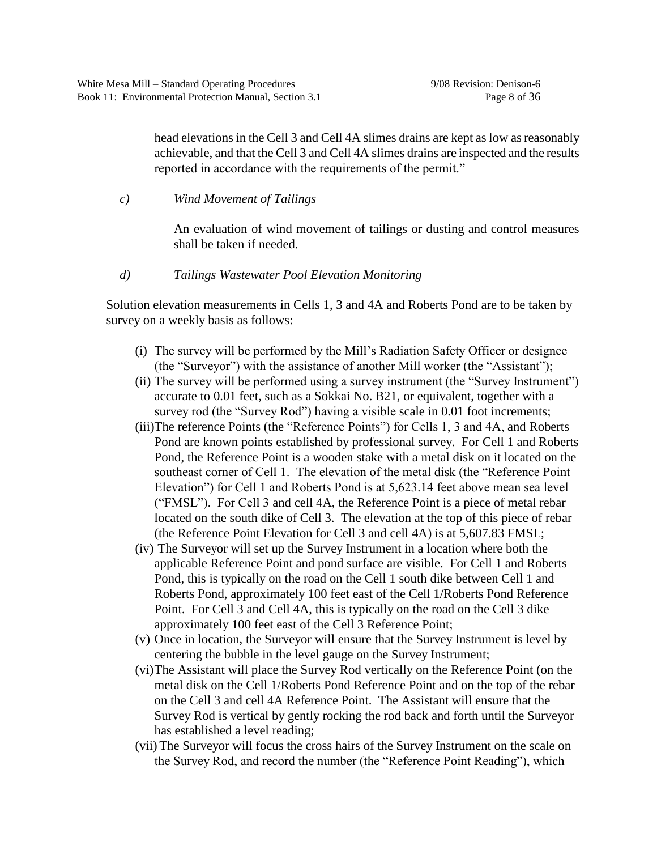head elevations in the Cell 3 and Cell 4A slimes drains are kept as low as reasonably achievable, and that the Cell 3 and Cell 4A slimes drains are inspected and the results reported in accordance with the requirements of the permit."

*c) Wind Movement of Tailings*

An evaluation of wind movement of tailings or dusting and control measures shall be taken if needed.

*d) Tailings Wastewater Pool Elevation Monitoring*

Solution elevation measurements in Cells 1, 3 and 4A and Roberts Pond are to be taken by survey on a weekly basis as follows:

- (i) The survey will be performed by the Mill's Radiation Safety Officer or designee (the "Surveyor") with the assistance of another Mill worker (the "Assistant");
- (ii) The survey will be performed using a survey instrument (the "Survey Instrument") accurate to 0.01 feet, such as a Sokkai No. B21, or equivalent, together with a survey rod (the "Survey Rod") having a visible scale in 0.01 foot increments;
- (iii)The reference Points (the "Reference Points") for Cells 1, 3 and 4A, and Roberts Pond are known points established by professional survey. For Cell 1 and Roberts Pond, the Reference Point is a wooden stake with a metal disk on it located on the southeast corner of Cell 1. The elevation of the metal disk (the "Reference Point" Elevation") for Cell 1 and Roberts Pond is at  $5,623.14$  feet above mean sea level ("FMSL"). For Cell 3 and cell 4A, the Reference Point is a piece of metal rebar located on the south dike of Cell 3. The elevation at the top of this piece of rebar (the Reference Point Elevation for Cell 3 and cell 4A) is at 5,607.83 FMSL;
- (iv) The Surveyor will set up the Survey Instrument in a location where both the applicable Reference Point and pond surface are visible. For Cell 1 and Roberts Pond, this is typically on the road on the Cell 1 south dike between Cell 1 and Roberts Pond, approximately 100 feet east of the Cell 1/Roberts Pond Reference Point. For Cell 3 and Cell 4A, this is typically on the road on the Cell 3 dike approximately 100 feet east of the Cell 3 Reference Point;
- (v) Once in location, the Surveyor will ensure that the Survey Instrument is level by centering the bubble in the level gauge on the Survey Instrument;
- (vi)The Assistant will place the Survey Rod vertically on the Reference Point (on the metal disk on the Cell 1/Roberts Pond Reference Point and on the top of the rebar on the Cell 3 and cell 4A Reference Point. The Assistant will ensure that the Survey Rod is vertical by gently rocking the rod back and forth until the Surveyor has established a level reading;
- (vii) The Surveyor will focus the cross hairs of the Survey Instrument on the scale on the Survey Rod, and record the number (the "Reference Point Reading"), which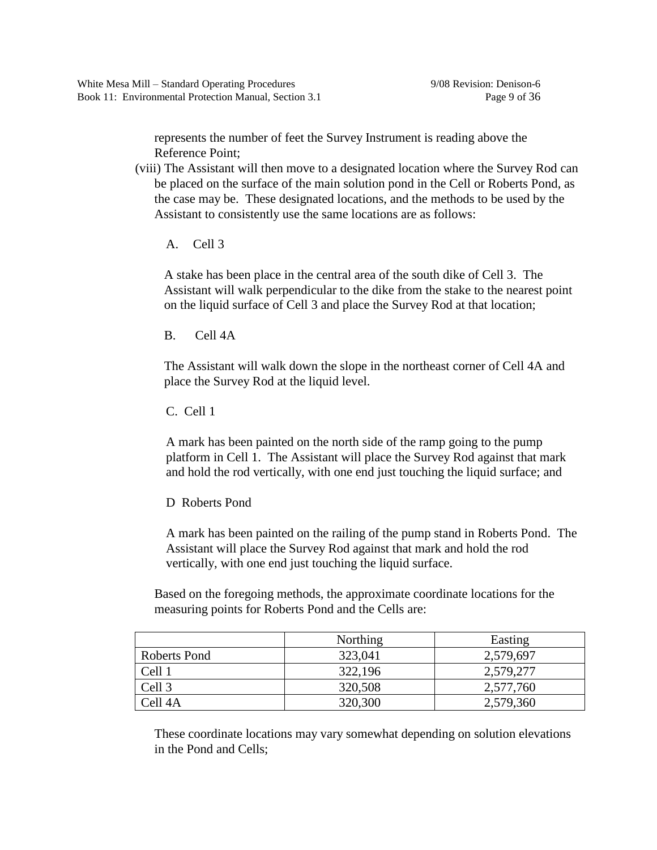represents the number of feet the Survey Instrument is reading above the Reference Point;

- (viii) The Assistant will then move to a designated location where the Survey Rod can be placed on the surface of the main solution pond in the Cell or Roberts Pond, as the case may be. These designated locations, and the methods to be used by the Assistant to consistently use the same locations are as follows:
	- A. Cell 3

A stake has been place in the central area of the south dike of Cell 3. The Assistant will walk perpendicular to the dike from the stake to the nearest point on the liquid surface of Cell 3 and place the Survey Rod at that location;

B. Cell 4A

The Assistant will walk down the slope in the northeast corner of Cell 4A and place the Survey Rod at the liquid level.

C. Cell 1

A mark has been painted on the north side of the ramp going to the pump platform in Cell 1. The Assistant will place the Survey Rod against that mark and hold the rod vertically, with one end just touching the liquid surface; and

D Roberts Pond

A mark has been painted on the railing of the pump stand in Roberts Pond. The Assistant will place the Survey Rod against that mark and hold the rod vertically, with one end just touching the liquid surface.

Based on the foregoing methods, the approximate coordinate locations for the measuring points for Roberts Pond and the Cells are:

|              | Northing | Easting   |
|--------------|----------|-----------|
| Roberts Pond | 323,041  | 2,579,697 |
| Cell 1       | 322,196  | 2,579,277 |
| Cell 3       | 320,508  | 2,577,760 |
| Cell 4A      | 320,300  | 2,579,360 |

These coordinate locations may vary somewhat depending on solution elevations in the Pond and Cells;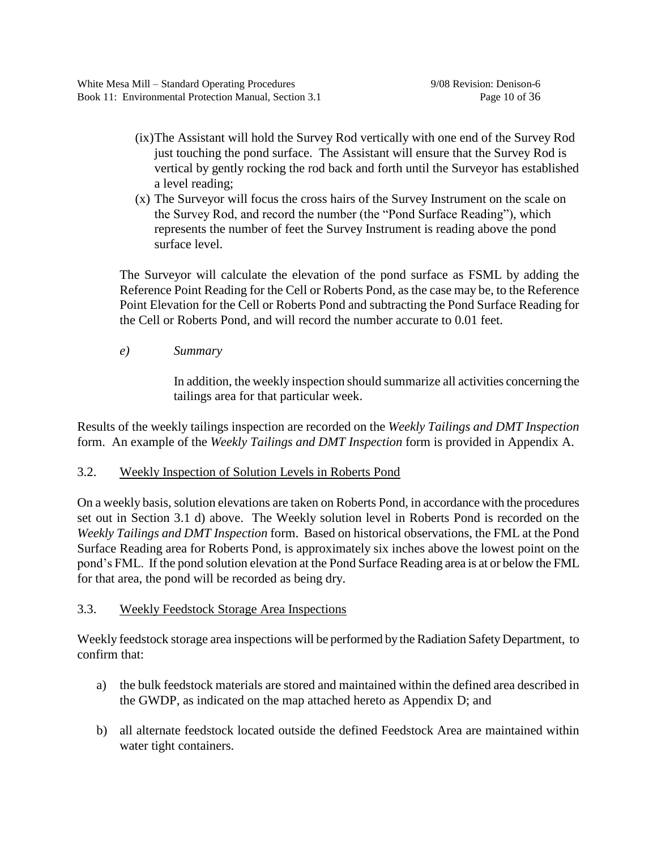- (ix)The Assistant will hold the Survey Rod vertically with one end of the Survey Rod just touching the pond surface. The Assistant will ensure that the Survey Rod is vertical by gently rocking the rod back and forth until the Surveyor has established a level reading;
- (x) The Surveyor will focus the cross hairs of the Survey Instrument on the scale on the Survey Rod, and record the number (the "Pond Surface Reading"), which represents the number of feet the Survey Instrument is reading above the pond surface level.

The Surveyor will calculate the elevation of the pond surface as FSML by adding the Reference Point Reading for the Cell or Roberts Pond, as the case may be, to the Reference Point Elevation for the Cell or Roberts Pond and subtracting the Pond Surface Reading for the Cell or Roberts Pond, and will record the number accurate to 0.01 feet.

*e) Summary*

In addition, the weekly inspection should summarize all activities concerning the tailings area for that particular week.

Results of the weekly tailings inspection are recorded on the *Weekly Tailings and DMT Inspection* form. An example of the *Weekly Tailings and DMT Inspection* form is provided in Appendix A.

# 3.2. Weekly Inspection of Solution Levels in Roberts Pond

On a weekly basis, solution elevations are taken on Roberts Pond, in accordance with the procedures set out in Section 3.1 d) above. The Weekly solution level in Roberts Pond is recorded on the *Weekly Tailings and DMT Inspection* form. Based on historical observations, the FML at the Pond Surface Reading area for Roberts Pond, is approximately six inches above the lowest point on the pond's FML. If the pond solution elevation at the Pond Surface Reading area is at or below the FML for that area, the pond will be recorded as being dry.

# 3.3. Weekly Feedstock Storage Area Inspections

Weekly feedstock storage area inspections will be performed by the Radiation Safety Department, to confirm that:

- a) the bulk feedstock materials are stored and maintained within the defined area described in the GWDP, as indicated on the map attached hereto as Appendix D; and
- b) all alternate feedstock located outside the defined Feedstock Area are maintained within water tight containers.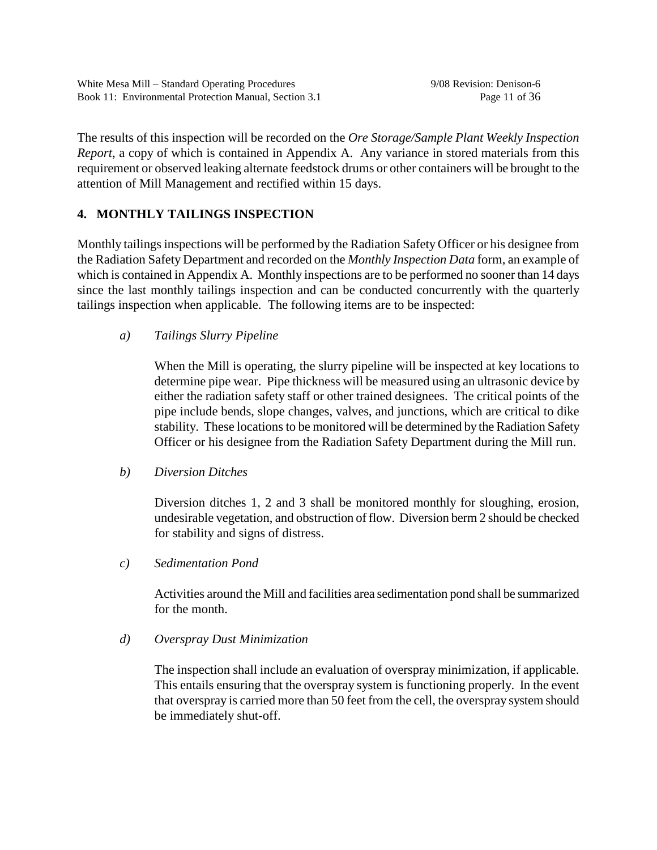The results of this inspection will be recorded on the *Ore Storage/Sample Plant Weekly Inspection Report*, a copy of which is contained in Appendix A. Any variance in stored materials from this requirement or observed leaking alternate feedstock drums or other containers will be brought to the attention of Mill Management and rectified within 15 days.

# **4. MONTHLY TAILINGS INSPECTION**

Monthly tailings inspections will be performed by the Radiation Safety Officer or his designee from the Radiation Safety Department and recorded on the *Monthly Inspection Data* form, an example of which is contained in Appendix A. Monthly inspections are to be performed no sooner than 14 days since the last monthly tailings inspection and can be conducted concurrently with the quarterly tailings inspection when applicable. The following items are to be inspected:

# *a) Tailings Slurry Pipeline*

When the Mill is operating, the slurry pipeline will be inspected at key locations to determine pipe wear. Pipe thickness will be measured using an ultrasonic device by either the radiation safety staff or other trained designees. The critical points of the pipe include bends, slope changes, valves, and junctions, which are critical to dike stability. These locations to be monitored will be determined by the Radiation Safety Officer or his designee from the Radiation Safety Department during the Mill run.

# *b) Diversion Ditches*

Diversion ditches 1, 2 and 3 shall be monitored monthly for sloughing, erosion, undesirable vegetation, and obstruction of flow. Diversion berm 2 should be checked for stability and signs of distress.

*c) Sedimentation Pond*

Activities around the Mill and facilities area sedimentation pond shall be summarized for the month.

# *d) Overspray Dust Minimization*

The inspection shall include an evaluation of overspray minimization, if applicable. This entails ensuring that the overspray system is functioning properly. In the event that overspray is carried more than 50 feet from the cell, the overspray system should be immediately shut-off.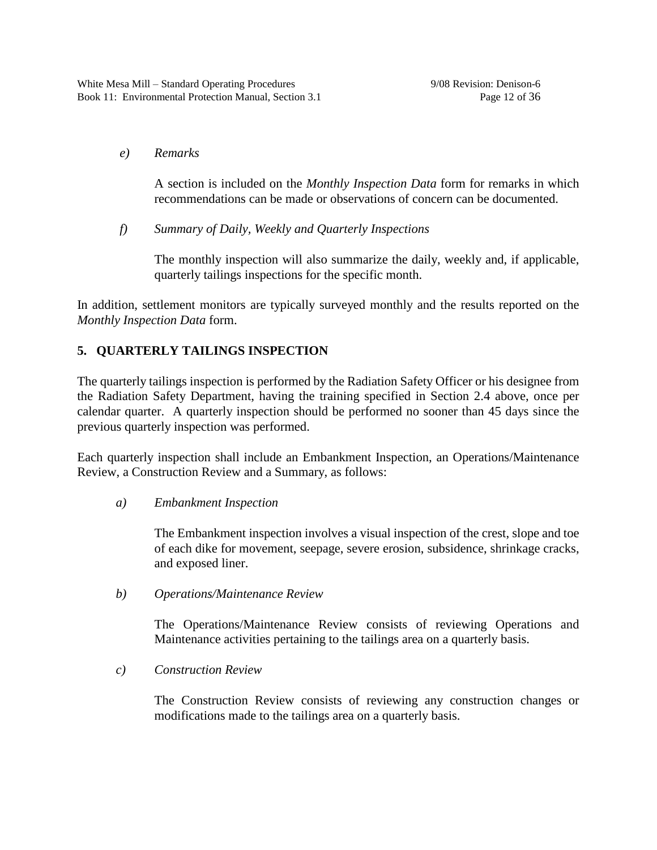## *e) Remarks*

A section is included on the *Monthly Inspection Data* form for remarks in which recommendations can be made or observations of concern can be documented.

*f) Summary of Daily, Weekly and Quarterly Inspections*

The monthly inspection will also summarize the daily, weekly and, if applicable, quarterly tailings inspections for the specific month.

In addition, settlement monitors are typically surveyed monthly and the results reported on the *Monthly Inspection Data* form.

# **5. QUARTERLY TAILINGS INSPECTION**

The quarterly tailings inspection is performed by the Radiation Safety Officer or his designee from the Radiation Safety Department, having the training specified in Section 2.4 above, once per calendar quarter. A quarterly inspection should be performed no sooner than 45 days since the previous quarterly inspection was performed.

Each quarterly inspection shall include an Embankment Inspection, an Operations/Maintenance Review, a Construction Review and a Summary, as follows:

# *a) Embankment Inspection*

The Embankment inspection involves a visual inspection of the crest, slope and toe of each dike for movement, seepage, severe erosion, subsidence, shrinkage cracks, and exposed liner.

*b) Operations/Maintenance Review*

The Operations/Maintenance Review consists of reviewing Operations and Maintenance activities pertaining to the tailings area on a quarterly basis.

*c) Construction Review*

The Construction Review consists of reviewing any construction changes or modifications made to the tailings area on a quarterly basis.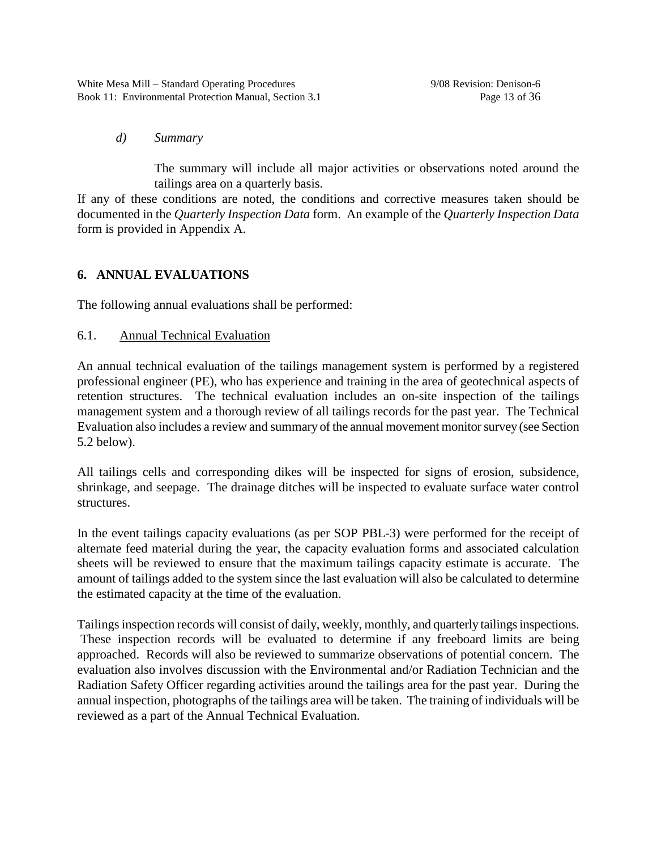# *d) Summary*

The summary will include all major activities or observations noted around the tailings area on a quarterly basis.

If any of these conditions are noted, the conditions and corrective measures taken should be documented in the *Quarterly Inspection Data* form. An example of the *Quarterly Inspection Data* form is provided in Appendix A.

# **6. ANNUAL EVALUATIONS**

The following annual evaluations shall be performed:

# 6.1. Annual Technical Evaluation

An annual technical evaluation of the tailings management system is performed by a registered professional engineer (PE), who has experience and training in the area of geotechnical aspects of retention structures. The technical evaluation includes an on-site inspection of the tailings management system and a thorough review of all tailings records for the past year. The Technical Evaluation also includes a review and summary of the annual movement monitor survey (see Section 5.2 below).

All tailings cells and corresponding dikes will be inspected for signs of erosion, subsidence, shrinkage, and seepage. The drainage ditches will be inspected to evaluate surface water control structures.

In the event tailings capacity evaluations (as per SOP PBL-3) were performed for the receipt of alternate feed material during the year, the capacity evaluation forms and associated calculation sheets will be reviewed to ensure that the maximum tailings capacity estimate is accurate. The amount of tailings added to the system since the last evaluation will also be calculated to determine the estimated capacity at the time of the evaluation.

Tailings inspection records will consist of daily, weekly, monthly, and quarterly tailings inspections. These inspection records will be evaluated to determine if any freeboard limits are being approached. Records will also be reviewed to summarize observations of potential concern. The evaluation also involves discussion with the Environmental and/or Radiation Technician and the Radiation Safety Officer regarding activities around the tailings area for the past year. During the annual inspection, photographs of the tailings area will be taken. The training of individuals will be reviewed as a part of the Annual Technical Evaluation.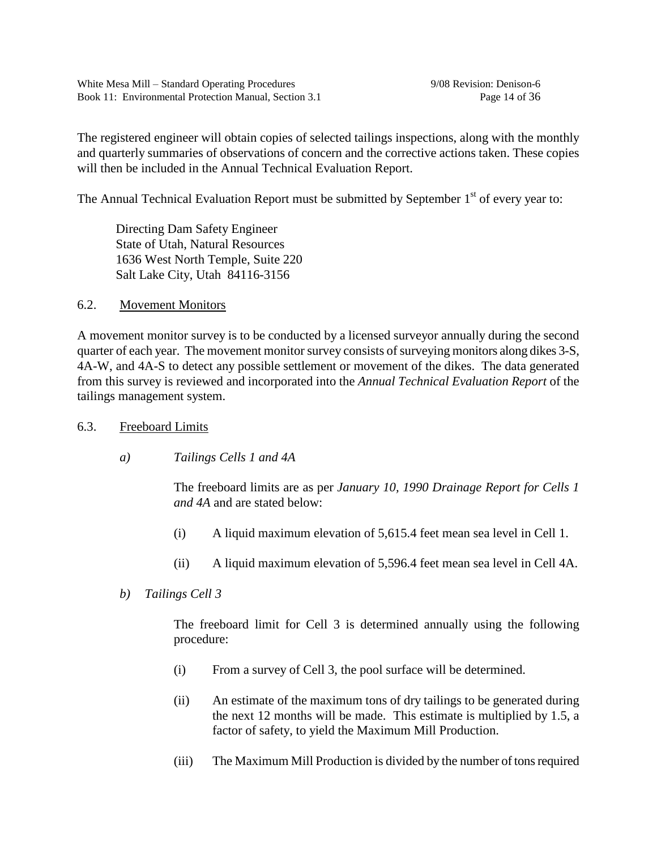The registered engineer will obtain copies of selected tailings inspections, along with the monthly and quarterly summaries of observations of concern and the corrective actions taken. These copies will then be included in the Annual Technical Evaluation Report.

The Annual Technical Evaluation Report must be submitted by September  $1<sup>st</sup>$  of every year to:

Directing Dam Safety Engineer State of Utah, Natural Resources 1636 West North Temple, Suite 220 Salt Lake City, Utah 84116-3156

# 6.2. Movement Monitors

A movement monitor survey is to be conducted by a licensed surveyor annually during the second quarter of each year. The movement monitor survey consists of surveying monitors along dikes 3-S, 4A-W, and 4A-S to detect any possible settlement or movement of the dikes. The data generated from this survey is reviewed and incorporated into the *Annual Technical Evaluation Report* of the tailings management system.

# 6.3. Freeboard Limits

*a) Tailings Cells 1 and 4A*

The freeboard limits are as per *January 10, 1990 Drainage Report for Cells 1 and 4A* and are stated below:

- (i) A liquid maximum elevation of 5,615.4 feet mean sea level in Cell 1.
- (ii) A liquid maximum elevation of 5,596.4 feet mean sea level in Cell 4A.
- *b) Tailings Cell 3*

The freeboard limit for Cell 3 is determined annually using the following procedure:

- (i) From a survey of Cell 3, the pool surface will be determined.
- (ii) An estimate of the maximum tons of dry tailings to be generated during the next 12 months will be made. This estimate is multiplied by 1.5, a factor of safety, to yield the Maximum Mill Production.
- (iii) The Maximum Mill Production is divided by the number of tons required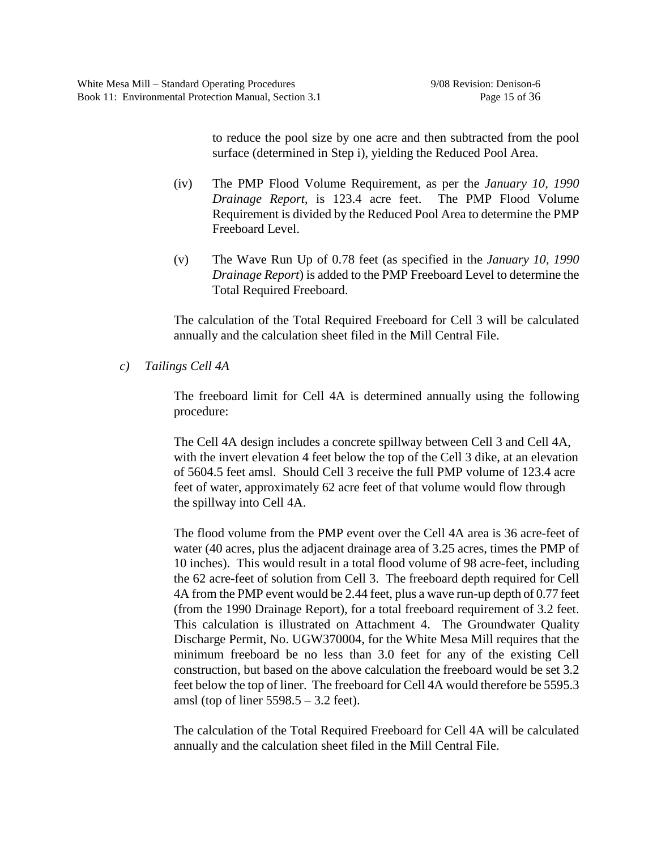to reduce the pool size by one acre and then subtracted from the pool surface (determined in Step i), yielding the Reduced Pool Area.

- (iv) The PMP Flood Volume Requirement, as per the *January 10, 1990 Drainage Report*, is 123.4 acre feet. The PMP Flood Volume Requirement is divided by the Reduced Pool Area to determine the PMP Freeboard Level.
- (v) The Wave Run Up of 0.78 feet (as specified in the *January 10, 1990 Drainage Report*) is added to the PMP Freeboard Level to determine the Total Required Freeboard.

The calculation of the Total Required Freeboard for Cell 3 will be calculated annually and the calculation sheet filed in the Mill Central File.

*c) Tailings Cell 4A*

The freeboard limit for Cell 4A is determined annually using the following procedure:

The Cell 4A design includes a concrete spillway between Cell 3 and Cell 4A, with the invert elevation 4 feet below the top of the Cell 3 dike, at an elevation of 5604.5 feet amsl. Should Cell 3 receive the full PMP volume of 123.4 acre feet of water, approximately 62 acre feet of that volume would flow through the spillway into Cell 4A.

The flood volume from the PMP event over the Cell 4A area is 36 acre-feet of water (40 acres, plus the adjacent drainage area of 3.25 acres, times the PMP of 10 inches). This would result in a total flood volume of 98 acre-feet, including the 62 acre-feet of solution from Cell 3. The freeboard depth required for Cell 4A from the PMP event would be 2.44 feet, plus a wave run-up depth of 0.77 feet (from the 1990 Drainage Report), for a total freeboard requirement of 3.2 feet. This calculation is illustrated on Attachment 4. The Groundwater Quality Discharge Permit, No. UGW370004, for the White Mesa Mill requires that the minimum freeboard be no less than 3.0 feet for any of the existing Cell construction, but based on the above calculation the freeboard would be set 3.2 feet below the top of liner. The freeboard for Cell 4A would therefore be 5595.3 amsl (top of liner  $5598.5 - 3.2$  feet).

The calculation of the Total Required Freeboard for Cell 4A will be calculated annually and the calculation sheet filed in the Mill Central File.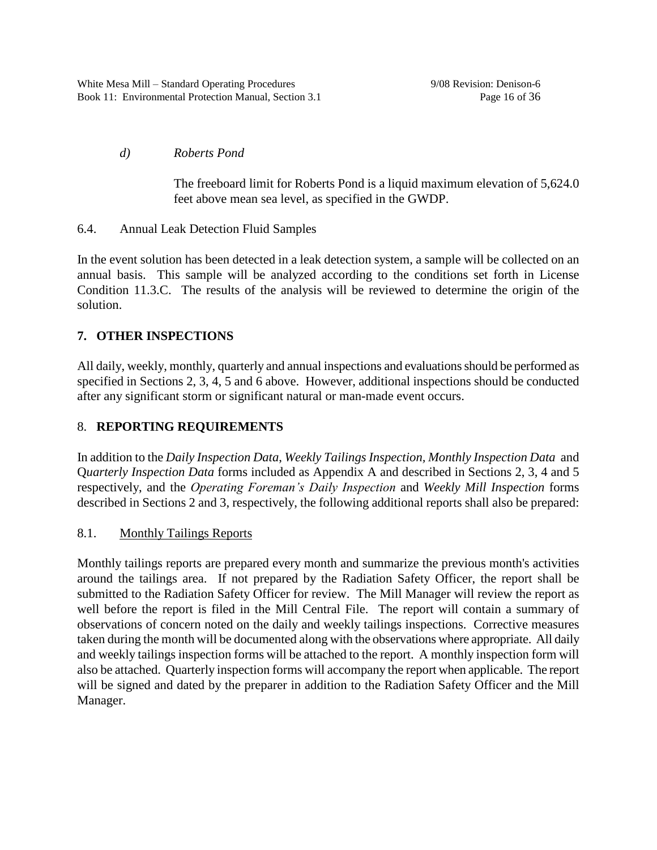# *d) Roberts Pond*

The freeboard limit for Roberts Pond is a liquid maximum elevation of 5,624.0 feet above mean sea level, as specified in the GWDP.

# 6.4. Annual Leak Detection Fluid Samples

In the event solution has been detected in a leak detection system, a sample will be collected on an annual basis. This sample will be analyzed according to the conditions set forth in License Condition 11.3.C. The results of the analysis will be reviewed to determine the origin of the solution.

# **7. OTHER INSPECTIONS**

All daily, weekly, monthly, quarterly and annual inspections and evaluations should be performed as specified in Sections 2, 3, 4, 5 and 6 above. However, additional inspections should be conducted after any significant storm or significant natural or man-made event occurs.

# 8. **REPORTING REQUIREMENTS**

In addition to the *Daily Inspection Data*, *Weekly Tailings Inspection, Monthly Inspection Data* and Q*uarterly Inspection Data* forms included as Appendix A and described in Sections 2, 3, 4 and 5 respectively, and the *Operating Foreman's Daily Inspection* and *Weekly Mill Inspection* forms described in Sections 2 and 3, respectively, the following additional reports shall also be prepared:

# 8.1. Monthly Tailings Reports

Monthly tailings reports are prepared every month and summarize the previous month's activities around the tailings area. If not prepared by the Radiation Safety Officer, the report shall be submitted to the Radiation Safety Officer for review. The Mill Manager will review the report as well before the report is filed in the Mill Central File. The report will contain a summary of observations of concern noted on the daily and weekly tailings inspections. Corrective measures taken during the month will be documented along with the observations where appropriate. All daily and weekly tailings inspection forms will be attached to the report. A monthly inspection form will also be attached. Quarterly inspection forms will accompany the report when applicable. The report will be signed and dated by the preparer in addition to the Radiation Safety Officer and the Mill Manager.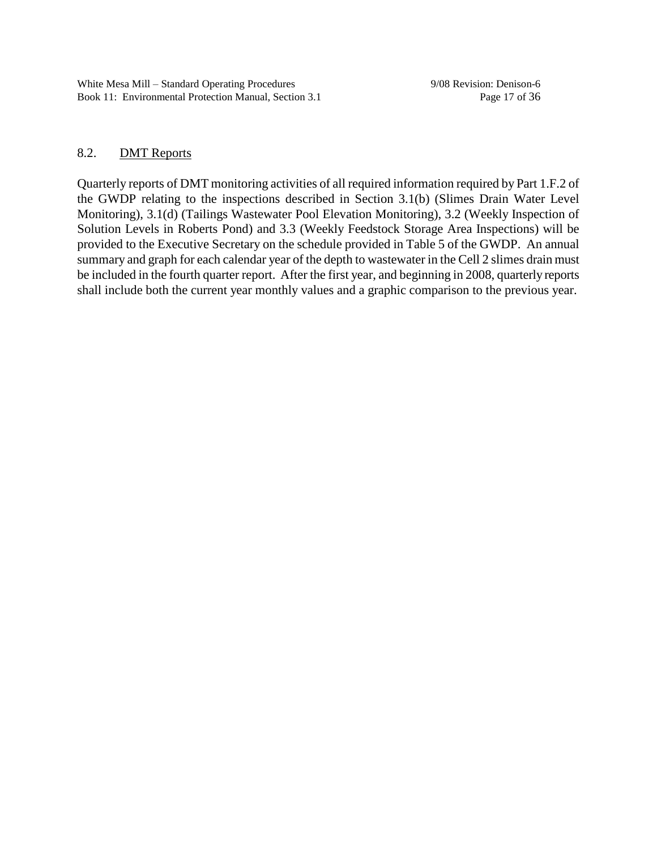## 8.2. DMT Reports

Quarterly reports of DMT monitoring activities of all required information required by Part 1.F.2 of the GWDP relating to the inspections described in Section 3.1(b) (Slimes Drain Water Level Monitoring), 3.1(d) (Tailings Wastewater Pool Elevation Monitoring), 3.2 (Weekly Inspection of Solution Levels in Roberts Pond) and 3.3 (Weekly Feedstock Storage Area Inspections) will be provided to the Executive Secretary on the schedule provided in Table 5 of the GWDP. An annual summary and graph for each calendar year of the depth to wastewater in the Cell 2 slimes drain must be included in the fourth quarter report. After the first year, and beginning in 2008, quarterly reports shall include both the current year monthly values and a graphic comparison to the previous year.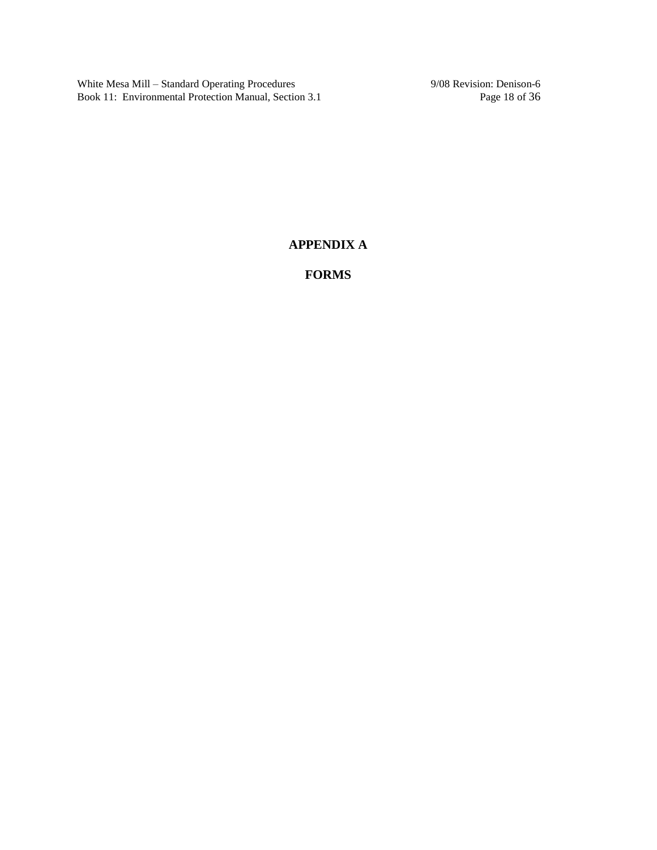White Mesa Mill – Standard Operating Procedures 9/08 Revision: Denison-6<br>Book 11: Environmental Protection Manual, Section 3.1 Page 18 of 36 Book 11: Environmental Protection Manual, Section 3.1

# **APPENDIX A**

**FORMS**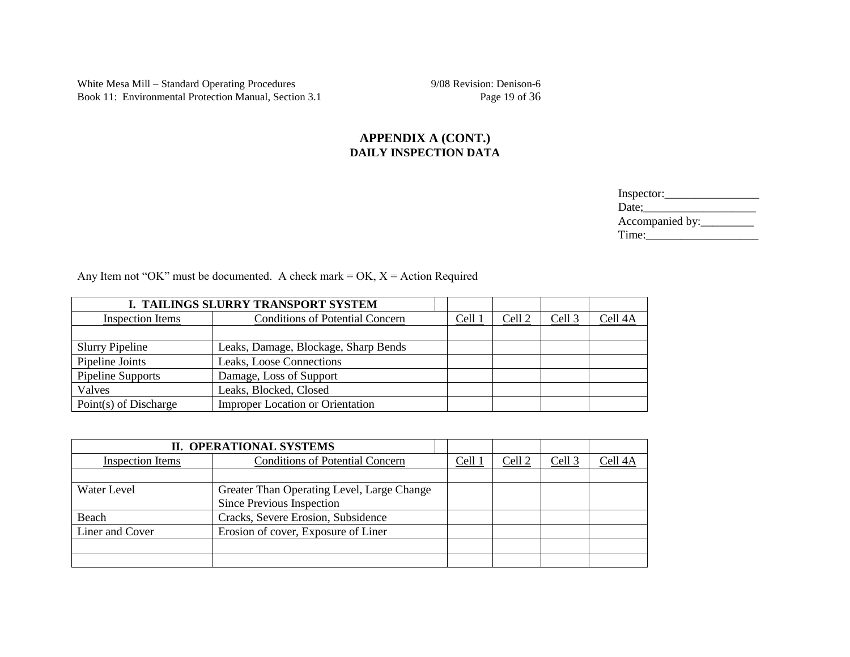White Mesa Mill – Standard Operating Procedures 9/08 Revision: Denison-6<br>Book 11: Environmental Protection Manual, Section 3.1 Page 19 of 36 Book 11: Environmental Protection Manual, Section 3.1

### **APPENDIX A (CONT.) DAILY INSPECTION DATA**

| Inspector:      |
|-----------------|
| Date:           |
| Accompanied by: |
| Time:           |

Any Item not "OK" must be documented. A check mark = OK,  $X =$  Action Required

| I. TAILINGS SLURRY TRANSPORT SYSTEM                            |                                         |        |                   |                   |                    |
|----------------------------------------------------------------|-----------------------------------------|--------|-------------------|-------------------|--------------------|
| <b>Inspection Items</b>                                        | <b>Conditions of Potential Concern</b>  | Cell 1 | Cell <sub>2</sub> | Cell <sub>3</sub> | Cell <sub>4A</sub> |
|                                                                |                                         |        |                   |                   |                    |
| Leaks, Damage, Blockage, Sharp Bends<br><b>Slurry Pipeline</b> |                                         |        |                   |                   |                    |
| Pipeline Joints                                                | Leaks, Loose Connections                |        |                   |                   |                    |
| Pipeline Supports                                              | Damage, Loss of Support                 |        |                   |                   |                    |
| Valves                                                         | Leaks, Blocked, Closed                  |        |                   |                   |                    |
| Point(s) of Discharge                                          | <b>Improper Location or Orientation</b> |        |                   |                   |                    |

| <b>II. OPERATIONAL SYSTEMS</b>                                    |                                    |  |        |        |         |
|-------------------------------------------------------------------|------------------------------------|--|--------|--------|---------|
| <b>Conditions of Potential Concern</b><br><b>Inspection Items</b> |                                    |  | Cell 2 | Cell 3 | Cell 4A |
|                                                                   |                                    |  |        |        |         |
| Greater Than Operating Level, Large Change<br>Water Level         |                                    |  |        |        |         |
|                                                                   | Since Previous Inspection          |  |        |        |         |
| Beach                                                             | Cracks, Severe Erosion, Subsidence |  |        |        |         |
| Liner and Cover<br>Erosion of cover, Exposure of Liner            |                                    |  |        |        |         |
|                                                                   |                                    |  |        |        |         |
|                                                                   |                                    |  |        |        |         |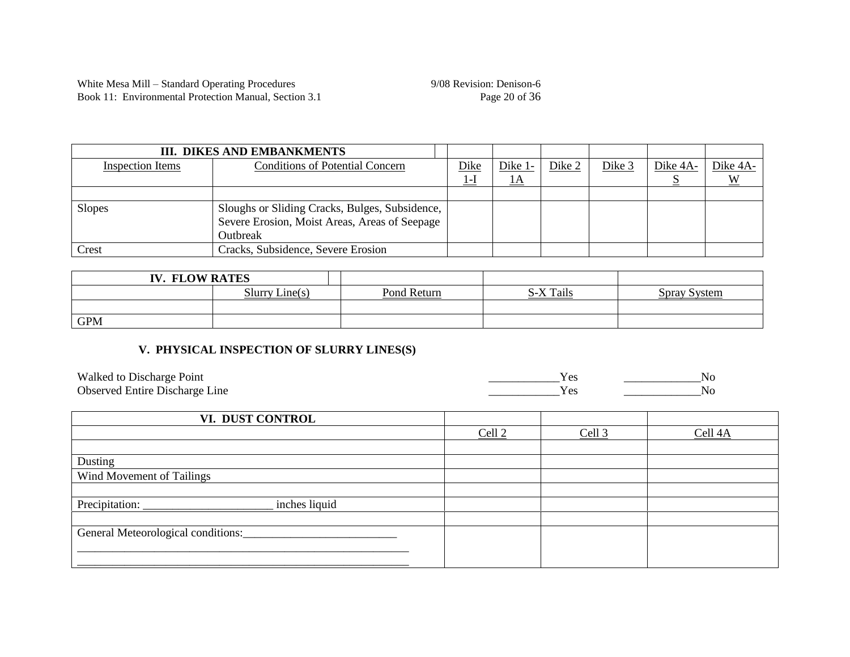| <b>III. DIKES AND EMBANKMENTS</b>                          |                                                |       |            |        |          |          |          |
|------------------------------------------------------------|------------------------------------------------|-------|------------|--------|----------|----------|----------|
| <b>Conditions of Potential Concern</b><br>Inspection Items |                                                |       | Dike $1$ - | Dike 2 | Dike $3$ | Dike 4A- | Dike 4A- |
|                                                            |                                                | $1-I$ | <u>IA</u>  |        |          |          |          |
|                                                            |                                                |       |            |        |          |          |          |
| <b>Slopes</b>                                              | Sloughs or Sliding Cracks, Bulges, Subsidence, |       |            |        |          |          |          |
|                                                            | Severe Erosion, Moist Areas, Areas of Seepage  |       |            |        |          |          |          |
|                                                            | Outbreak                                       |       |            |        |          |          |          |
| Crest                                                      | Cracks, Subsidence, Severe Erosion             |       |            |        |          |          |          |

| <b>IV. FLOW RATES</b> |                |             |           |              |
|-----------------------|----------------|-------------|-----------|--------------|
|                       | Slurry Line(s) | Pond Return | S-X Tails | Spray System |
|                       |                |             |           |              |
| <b>GPM</b>            |                |             |           |              |

## **V. PHYSICAL INSPECTION OF SLURRY LINES(S)**

| Walked to Discharge Point             | NG. |
|---------------------------------------|-----|
| <b>Observed Entire Discharge Line</b> | No  |

| VI. DUST CONTROL                   |                   |                   |         |
|------------------------------------|-------------------|-------------------|---------|
|                                    | Cell <sub>2</sub> | Cell <sub>3</sub> | Cell 4A |
|                                    |                   |                   |         |
| Dusting                            |                   |                   |         |
| Wind Movement of Tailings          |                   |                   |         |
|                                    |                   |                   |         |
| Precipitation:<br>inches liquid    |                   |                   |         |
|                                    |                   |                   |         |
| General Meteorological conditions: |                   |                   |         |
|                                    |                   |                   |         |
|                                    |                   |                   |         |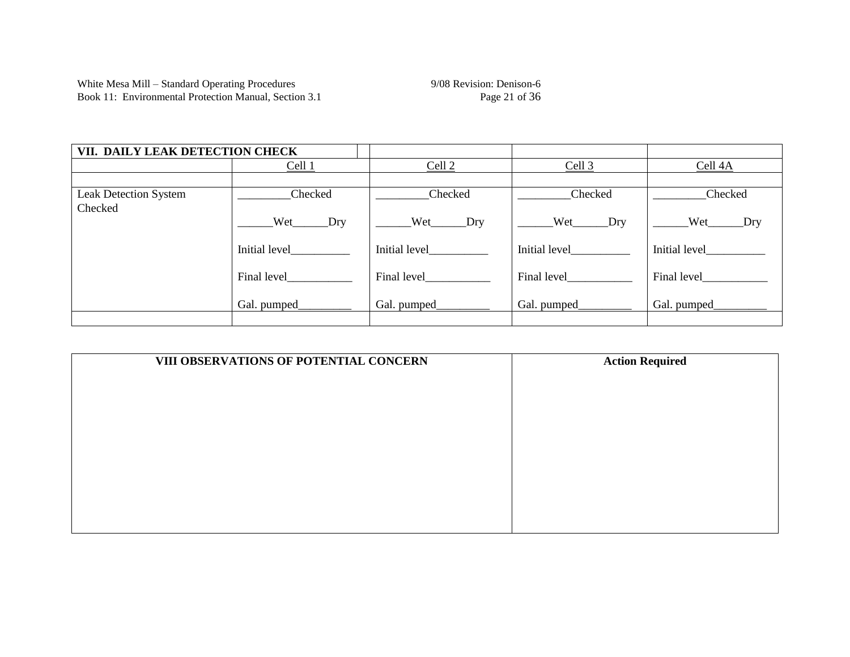| VII. DAILY LEAK DETECTION CHECK         |                    |                 |                   |                 |  |
|-----------------------------------------|--------------------|-----------------|-------------------|-----------------|--|
|                                         | Cell <sub>1</sub>  | Cell $2$        | Cell <sub>3</sub> | Cell 4A         |  |
|                                         |                    |                 |                   |                 |  |
| <b>Leak Detection System</b><br>Checked | Checked            | Checked         | Checked           | Checked         |  |
|                                         | Wet Dry            | $Wet$ Dry       | Wet Dry           | Wet_________Dry |  |
|                                         | Initial level      | Initial level   | Initial level     | Initial level   |  |
|                                         | Final level_______ | Final level     | Final level_____  | Final level     |  |
|                                         | Gal. pumped_       | Gal. pumped____ | Gal. pumped_      | Gal. pumped_    |  |
|                                         |                    |                 |                   |                 |  |

| VIII OBSERVATIONS OF POTENTIAL CONCERN | <b>Action Required</b> |
|----------------------------------------|------------------------|
|                                        |                        |
|                                        |                        |
|                                        |                        |
|                                        |                        |
|                                        |                        |
|                                        |                        |
|                                        |                        |
|                                        |                        |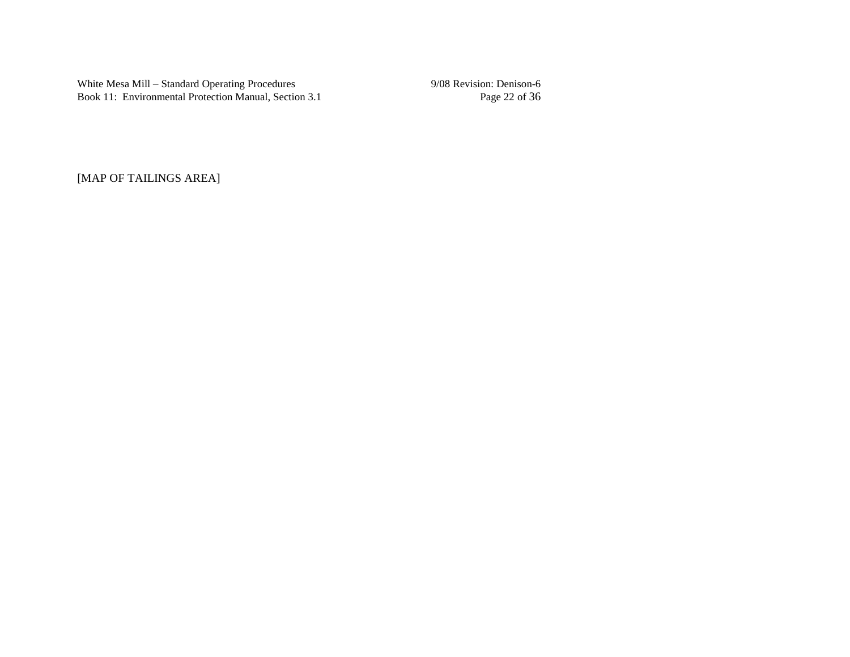White Mesa Mill – Standard Operating Procedures 9/08 Revision: Denison-6<br>Book 11: Environmental Protection Manual, Section 3.1 Page 22 of 36 Book 11: Environmental Protection Manual, Section 3.1

[MAP OF TAILINGS AREA]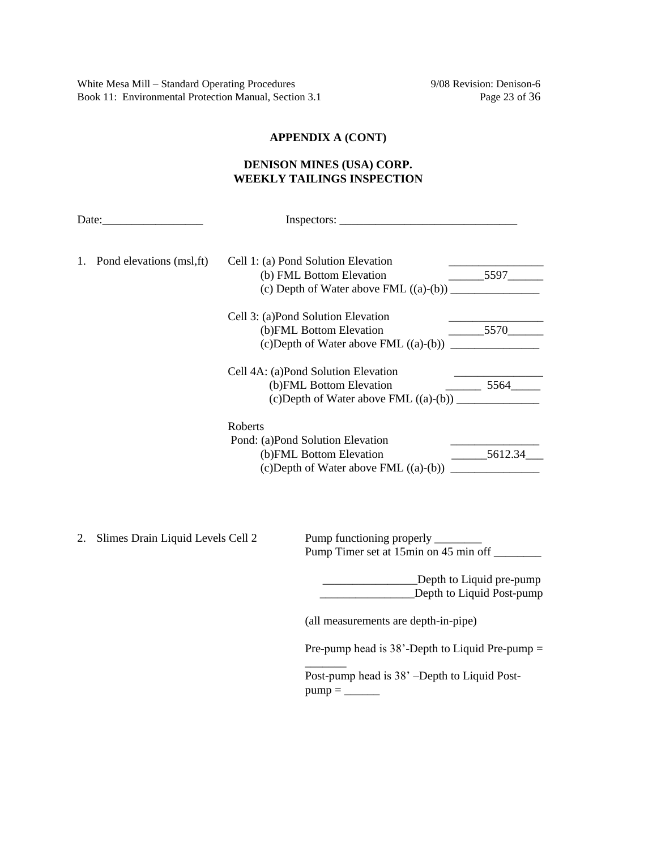White Mesa Mill – Standard Operating Procedures 9/08 Revision: Denison-6 Book 11: Environmental Protection Manual, Section 3.1 Page 23 of 36

# **APPENDIX A (CONT)**

## **DENISON MINES (USA) CORP. WEEKLY TAILINGS INSPECTION**

|    | 1. Pond elevations (msl, ft)      |         | Cell 1: (a) Pond Solution Elevation<br>(b) FML Bottom Elevation                                              | $\sim$ 5597               |
|----|-----------------------------------|---------|--------------------------------------------------------------------------------------------------------------|---------------------------|
|    |                                   |         | Cell 3: (a)Pond Solution Elevation<br>(b)FML Bottom Elevation                                                | 5570                      |
|    |                                   |         | Cell 4A: (a)Pond Solution Elevation<br>(b)FML Bottom Elevation<br>$(c)$ Depth of Water above FML $((a)-(b))$ | $\frac{\ }{\ }$ 5564      |
|    |                                   | Roberts | Pond: (a)Pond Solution Elevation<br>(b)FML Bottom Elevation                                                  | $-5612.34$                |
| 2. | Slimes Drain Liquid Levels Cell 2 |         | Pump functioning properly ________<br>Pump Timer set at 15min on 45 min off _________                        |                           |
|    |                                   |         | Depth to Liquid Post-pump                                                                                    | _Depth to Liquid pre-pump |
|    |                                   |         | (all measurements are depth-in-pipe)                                                                         |                           |
|    |                                   |         | Pre-pump head is $38'$ -Depth to Liquid Pre-pump =                                                           |                           |
|    |                                   |         | Post-pump head is 38' -Depth to Liquid Post-                                                                 |                           |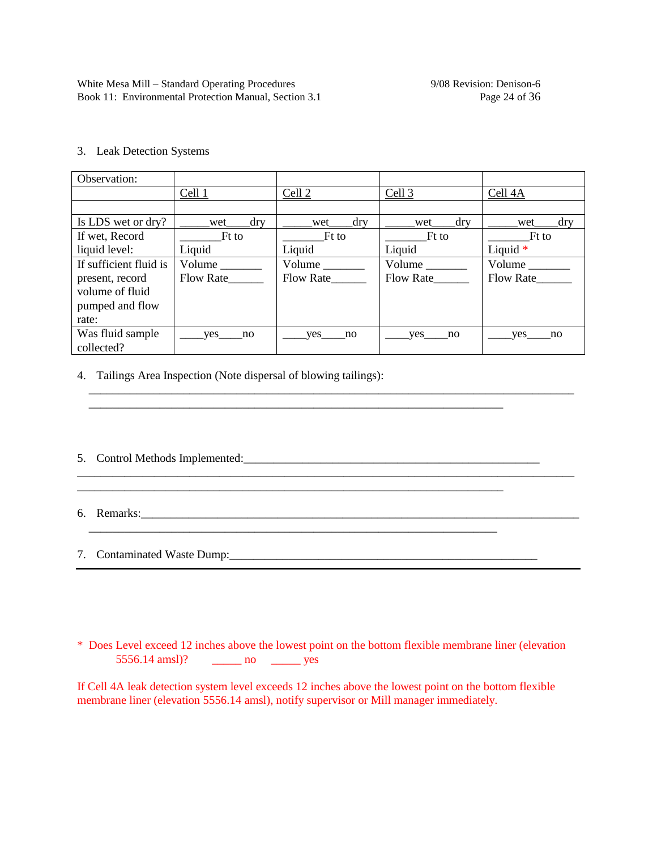3. Leak Detection Systems

| Observation:           |                      |            |               |                             |
|------------------------|----------------------|------------|---------------|-----------------------------|
|                        | Cell 1               | Cell 2     | Cell 3        | Cell 4A                     |
|                        |                      |            |               |                             |
| Is LDS wet or dry?     | dry<br>wet           | dry<br>wet | dry<br>wet    | dry<br>wet                  |
| If wet, Record         | Ft to                | Ft to      | Ft to         | Ft to                       |
| liquid level:          | Liquid               | Liquid     | Liquid        | Liquid $*$                  |
| If sufficient fluid is | Volume $\frac{ }{ }$ | Volume     | Volume $\_\_$ | $Volume$ <sub>_______</sub> |
| present, record        | Flow Rate            | Flow Rate  | Flow Rate     | Flow Rate                   |
| volume of fluid        |                      |            |               |                             |
| pumped and flow        |                      |            |               |                             |
| rate:                  |                      |            |               |                             |
| Was fluid sample       | ves<br>no            | ves<br>no  | ves<br>no     | ves<br>no                   |
| collected?             |                      |            |               |                             |

\_\_\_\_\_\_\_\_\_\_\_\_\_\_\_\_\_\_\_\_\_\_\_\_\_\_\_\_\_\_\_\_\_\_\_\_\_\_\_\_\_\_\_\_\_\_\_\_\_\_\_\_\_\_\_\_\_\_\_\_\_\_\_\_\_\_\_\_\_\_\_\_\_\_\_\_\_\_\_\_\_\_

\_\_\_\_\_\_\_\_\_\_\_\_\_\_\_\_\_\_\_\_\_\_\_\_\_\_\_\_\_\_\_\_\_\_\_\_\_\_\_\_\_\_\_\_\_\_\_\_\_\_\_\_\_\_\_\_\_\_\_\_\_\_\_\_\_\_\_\_\_\_\_\_\_\_\_\_\_\_\_\_\_\_\_\_

\_\_\_\_\_\_\_\_\_\_\_\_\_\_\_\_\_\_\_\_\_\_\_\_\_\_\_\_\_\_\_\_\_\_\_\_\_\_\_\_\_\_\_\_\_\_\_\_\_\_\_\_\_\_\_\_\_\_\_\_\_\_\_\_\_\_\_\_\_\_

\_\_\_\_\_\_\_\_\_\_\_\_\_\_\_\_\_\_\_\_\_\_\_\_\_\_\_\_\_\_\_\_\_\_\_\_\_\_\_\_\_\_\_\_\_\_\_\_\_\_\_\_\_\_\_\_\_\_\_\_\_\_\_\_\_\_\_\_\_\_\_\_

4. Tailings Area Inspection (Note dispersal of blowing tailings):

5. Control Methods Implemented:\_\_\_\_\_\_\_\_\_\_\_\_\_\_\_\_\_\_\_\_\_\_\_\_\_\_\_\_\_\_\_\_\_\_\_\_\_\_\_\_\_\_\_\_\_\_\_\_\_\_

6. Remarks:\_\_\_\_\_\_\_\_\_\_\_\_\_\_\_\_\_\_\_\_\_\_\_\_\_\_\_\_\_\_\_\_\_\_\_\_\_\_\_\_\_\_\_\_\_\_\_\_\_\_\_\_\_\_\_\_\_\_\_\_\_\_\_\_\_\_\_\_\_\_\_\_\_\_

7. Contaminated Waste Dump:\_\_\_\_\_\_\_\_\_\_\_\_\_\_\_\_\_\_\_\_\_\_\_\_\_\_\_\_\_\_\_\_\_\_\_\_\_\_\_\_\_\_\_\_\_\_\_\_\_\_\_\_

\* Does Level exceed 12 inches above the lowest point on the bottom flexible membrane liner (elevation 5556.14 amsl)? \_\_\_\_\_\_ no \_\_\_\_\_\_ yes

If Cell 4A leak detection system level exceeds 12 inches above the lowest point on the bottom flexible membrane liner (elevation 5556.14 amsl), notify supervisor or Mill manager immediately.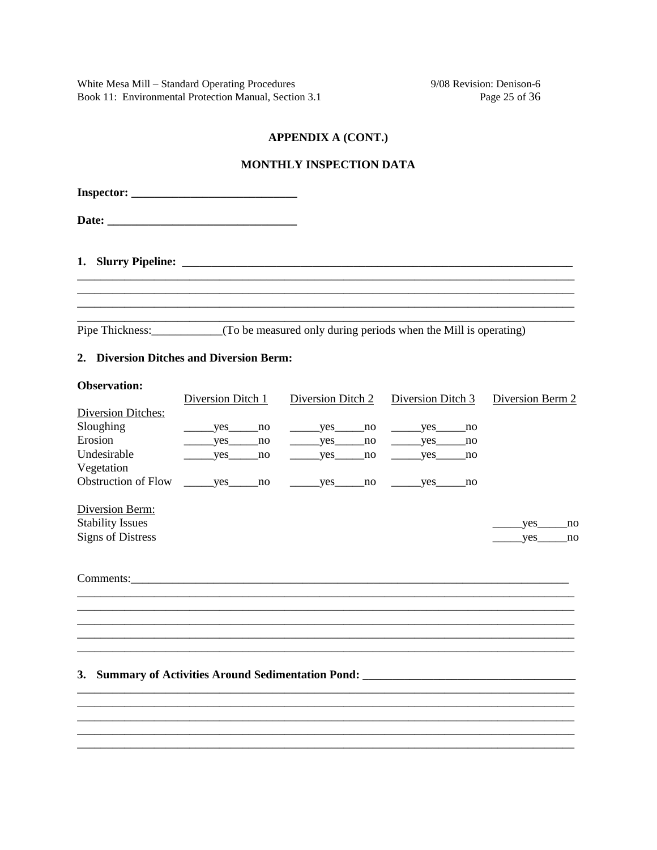9/08 Revision: Denison-6 Page 25 of 36

#### **APPENDIX A (CONT.)**

#### MONTHLY INSPECTION DATA

| <b>Inspector:</b> ______________________________ |                                                                                             |
|--------------------------------------------------|---------------------------------------------------------------------------------------------|
|                                                  |                                                                                             |
|                                                  |                                                                                             |
|                                                  |                                                                                             |
|                                                  | Pipe Thickness: ____________(To be measured only during periods when the Mill is operating) |

#### 2. Diversion Ditches and Diversion Berm:

#### **Observation:**

|                            | Diversion Ditch 1 | Diversion Ditch 2                                                                 | Diversion Ditch 3 | Diversion Berm 2 |
|----------------------------|-------------------|-----------------------------------------------------------------------------------|-------------------|------------------|
| Diversion Ditches:         |                   |                                                                                   |                   |                  |
| Sloughing                  | yes<br>no         | yes<br>no                                                                         | yes no            |                  |
| Erosion                    | yes<br>no         | no<br>yes                                                                         | $yes$ no          |                  |
| Undesirable                | yes<br>no         | no<br>yes                                                                         | yes<br>no         |                  |
| Vegetation                 |                   |                                                                                   |                   |                  |
| <b>Obstruction of Flow</b> | yes<br>no         | yes<br>no                                                                         | yes<br>no         |                  |
| Diversion Berm:            |                   |                                                                                   |                   |                  |
| <b>Stability Issues</b>    |                   |                                                                                   |                   | yes<br>no        |
| <b>Signs of Distress</b>   |                   |                                                                                   |                   | yes<br>no        |
|                            |                   |                                                                                   |                   |                  |
|                            |                   | Comments:                                                                         |                   |                  |
|                            |                   |                                                                                   |                   |                  |
|                            |                   |                                                                                   |                   |                  |
|                            |                   |                                                                                   |                   |                  |
|                            |                   |                                                                                   |                   |                  |
|                            |                   |                                                                                   |                   |                  |
| <b>3.</b>                  |                   | Summary of Activities Around Sedimentation Pond: ________________________________ |                   |                  |
|                            |                   |                                                                                   |                   |                  |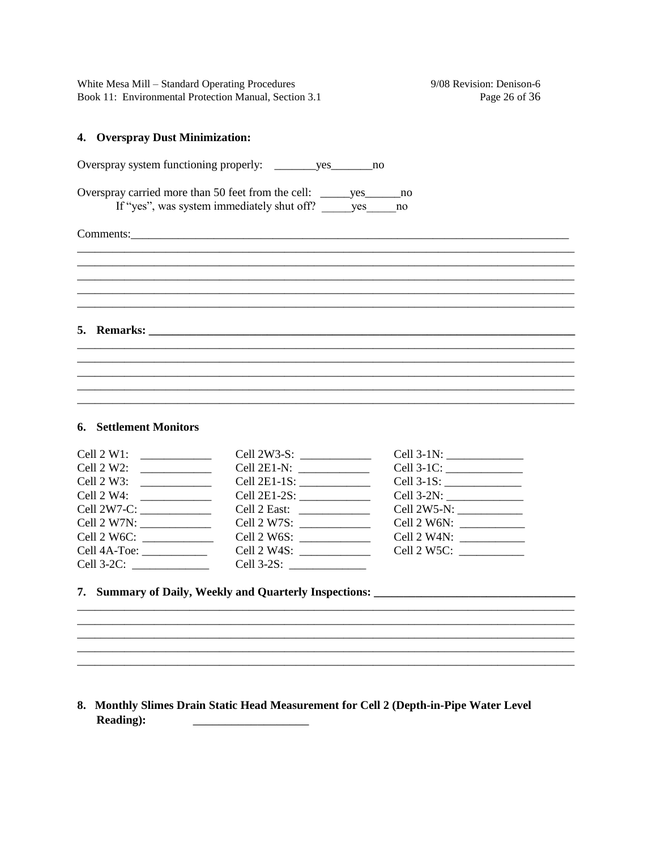9/08 Revision: Denison-6 Page 26 of 36

#### 4. Overspray Dust Minimization:

| Overspray carried more than 50 feet from the cell: _______ yes________ no<br>If "yes", was system immediately shut off? yes no |  |  |
|--------------------------------------------------------------------------------------------------------------------------------|--|--|
|                                                                                                                                |  |  |
|                                                                                                                                |  |  |
|                                                                                                                                |  |  |
|                                                                                                                                |  |  |
|                                                                                                                                |  |  |
|                                                                                                                                |  |  |

## **6.** Settlement Monitors

| Cell $2$ W1:                   |                                                                |                           |
|--------------------------------|----------------------------------------------------------------|---------------------------|
| Cell $2 W2$ :                  | Cell 2E1-N: $\frac{1}{\sqrt{1-\frac{1}{2}} \cdot \frac{1}{2}}$ |                           |
|                                | Cell 2E1-1S: $\frac{1}{2}$                                     |                           |
|                                |                                                                |                           |
|                                |                                                                |                           |
| Cell 2 W7N: $\frac{1}{2}$ M7N: | Cell 2 W7S: $\frac{1}{2 \times 2 \times 1}$                    |                           |
|                                |                                                                |                           |
|                                | Cell $2$ W4S:                                                  | Cell 2 W5C: $\frac{1}{2}$ |
|                                | Cell 3-2S: _______                                             |                           |

#### 8. Monthly Slimes Drain Static Head Measurement for Cell 2 (Depth-in-Pipe Water Level **Reading):**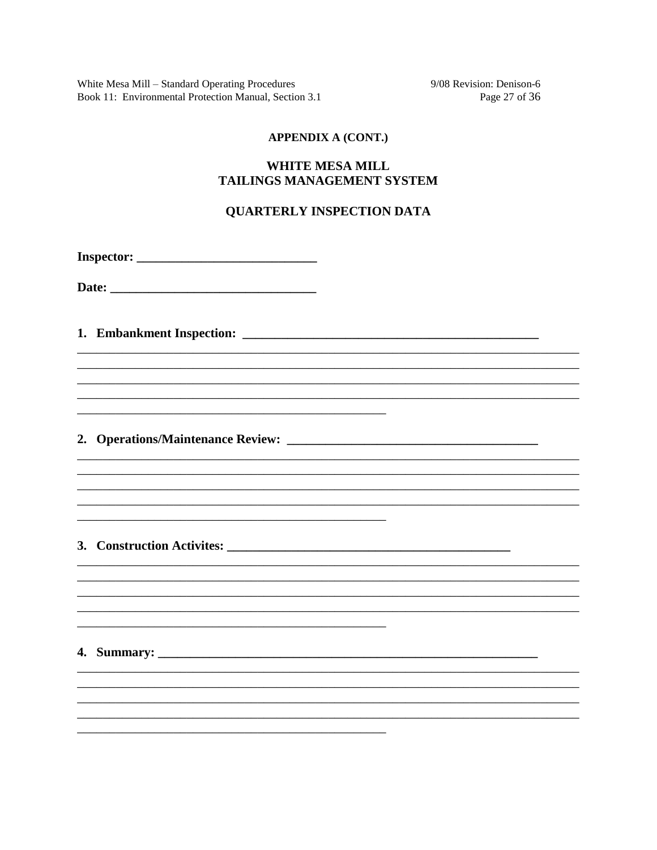9/08 Revision: Denison-6 Page 27 of 36

#### **APPENDIX A (CONT.)**

## **WHITE MESA MILL TAILINGS MANAGEMENT SYSTEM**

#### **QUARTERLY INSPECTION DATA**

Date:

####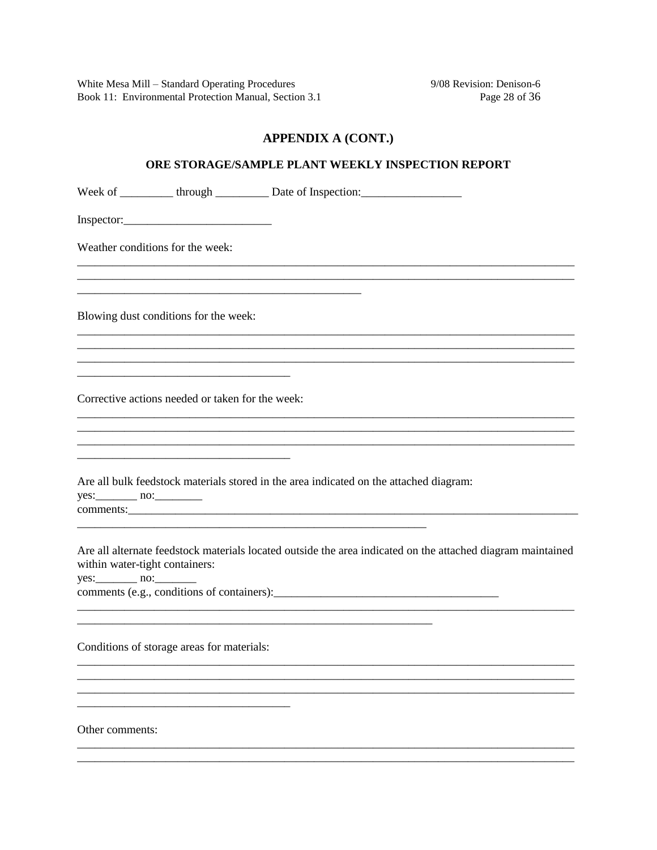9/08 Revision: Denison-6 Page 28 of 36

# **APPENDIX A (CONT.)**

| ORE STORAGE/SAMPLE PLANT WEEKLY INSPECTION REPORT |  |                                                                                                             |
|---------------------------------------------------|--|-------------------------------------------------------------------------------------------------------------|
|                                                   |  | Week of __________ through ____________ Date of Inspection: _____________________                           |
|                                                   |  |                                                                                                             |
| Weather conditions for the week:                  |  |                                                                                                             |
| Blowing dust conditions for the week:             |  |                                                                                                             |
| Corrective actions needed or taken for the week:  |  |                                                                                                             |
|                                                   |  |                                                                                                             |
|                                                   |  | Are all bulk feedstock materials stored in the area indicated on the attached diagram:                      |
| within water-tight containers:<br>$yes:$ no:      |  | Are all alternate feedstock materials located outside the area indicated on the attached diagram maintained |
| Conditions of storage areas for materials:        |  |                                                                                                             |
|                                                   |  |                                                                                                             |
| Other comments:                                   |  |                                                                                                             |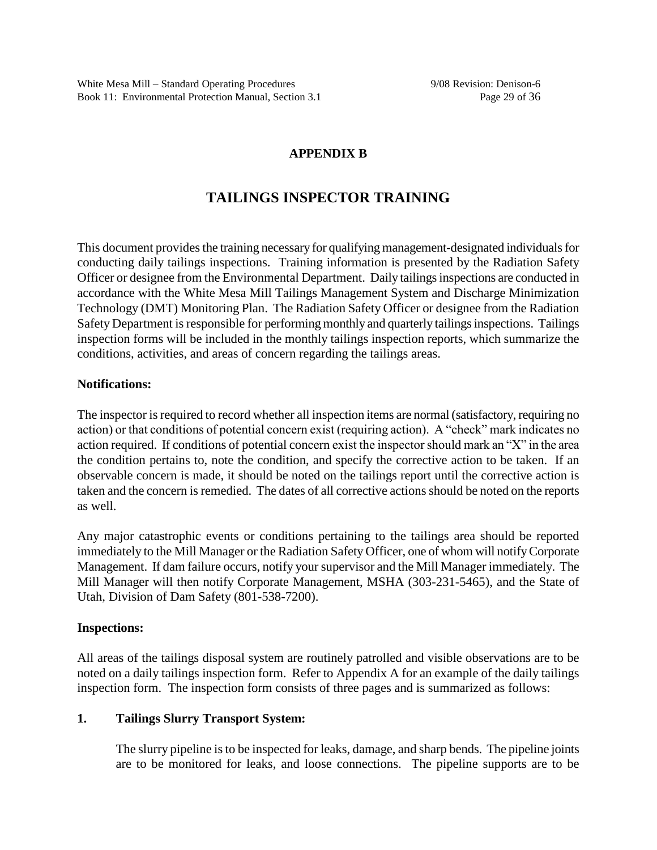# **APPENDIX B**

# **TAILINGS INSPECTOR TRAINING**

This document provides the training necessary for qualifying management-designated individuals for conducting daily tailings inspections. Training information is presented by the Radiation Safety Officer or designee from the Environmental Department. Daily tailings inspections are conducted in accordance with the White Mesa Mill Tailings Management System and Discharge Minimization Technology (DMT) Monitoring Plan. The Radiation Safety Officer or designee from the Radiation Safety Department is responsible for performing monthly and quarterly tailings inspections. Tailings inspection forms will be included in the monthly tailings inspection reports, which summarize the conditions, activities, and areas of concern regarding the tailings areas.

## **Notifications:**

The inspector is required to record whether all inspection items are normal (satisfactory, requiring no action) or that conditions of potential concernexist (requiring action). A "check" mark indicates no action required. If conditions of potential concernexist the inspector should mark an "X" in the area the condition pertains to, note the condition, and specify the corrective action to be taken. If an observable concern is made, it should be noted on the tailings report until the corrective action is taken and the concern is remedied. The dates of all corrective actions should be noted on the reports as well.

Any major catastrophic events or conditions pertaining to the tailings area should be reported immediately to the Mill Manager or the Radiation Safety Officer, one of whom will notify Corporate Management. If dam failure occurs, notify your supervisor and the Mill Manager immediately. The Mill Manager will then notify Corporate Management, MSHA (303-231-5465), and the State of Utah, Division of Dam Safety (801-538-7200).

# **Inspections:**

All areas of the tailings disposal system are routinely patrolled and visible observations are to be noted on a daily tailings inspection form. Refer to Appendix A for an example of the daily tailings inspection form. The inspection form consists of three pages and is summarized as follows:

# **1. Tailings Slurry Transport System:**

The slurry pipeline is to be inspected for leaks, damage, and sharp bends. The pipeline joints are to be monitored for leaks, and loose connections. The pipeline supports are to be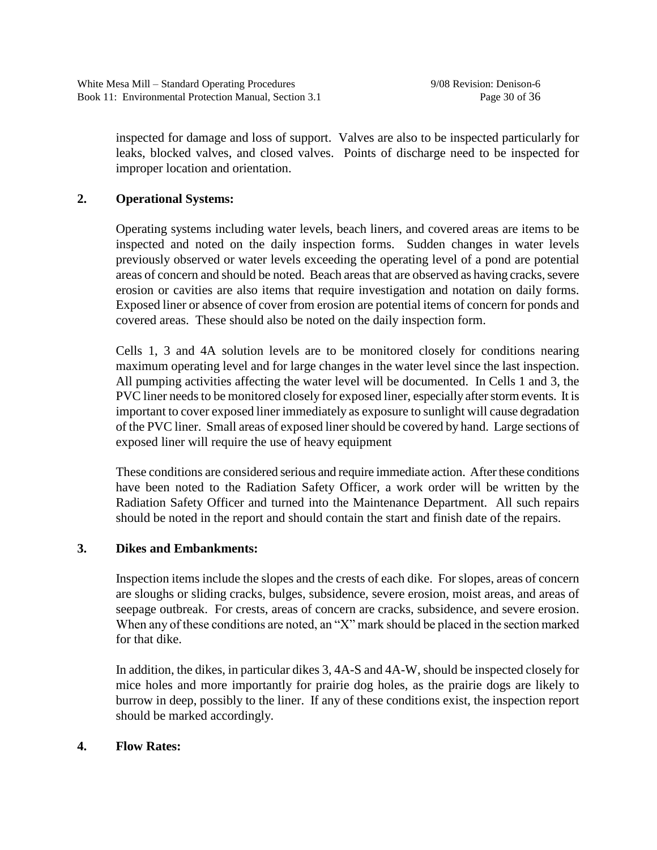inspected for damage and loss of support. Valves are also to be inspected particularly for leaks, blocked valves, and closed valves. Points of discharge need to be inspected for improper location and orientation.

# **2. Operational Systems:**

Operating systems including water levels, beach liners, and covered areas are items to be inspected and noted on the daily inspection forms. Sudden changes in water levels previously observed or water levels exceeding the operating level of a pond are potential areas of concern and should be noted. Beach areas that are observed as having cracks, severe erosion or cavities are also items that require investigation and notation on daily forms. Exposed liner or absence of cover from erosion are potential items of concern for ponds and covered areas. These should also be noted on the daily inspection form.

Cells 1, 3 and 4A solution levels are to be monitored closely for conditions nearing maximum operating level and for large changes in the water level since the last inspection. All pumping activities affecting the water level will be documented. In Cells 1 and 3, the PVC liner needs to be monitored closely for exposed liner, especially after storm events. It is important to cover exposed liner immediately as exposure to sunlight will cause degradation of the PVC liner. Small areas of exposed liner should be covered by hand. Large sections of exposed liner will require the use of heavy equipment

These conditions are considered serious and require immediate action. After these conditions have been noted to the Radiation Safety Officer, a work order will be written by the Radiation Safety Officer and turned into the Maintenance Department. All such repairs should be noted in the report and should contain the start and finish date of the repairs.

# **3. Dikes and Embankments:**

Inspection items include the slopes and the crests of each dike. For slopes, areas of concern are sloughs or sliding cracks, bulges, subsidence, severe erosion, moist areas, and areas of seepage outbreak. For crests, areas of concern are cracks, subsidence, and severe erosion. When any of these conditions are noted, an "X" mark should be placed in the section marked for that dike.

In addition, the dikes, in particular dikes 3, 4A-S and 4A-W, should be inspected closely for mice holes and more importantly for prairie dog holes, as the prairie dogs are likely to burrow in deep, possibly to the liner. If any of these conditions exist, the inspection report should be marked accordingly.

## **4. Flow Rates:**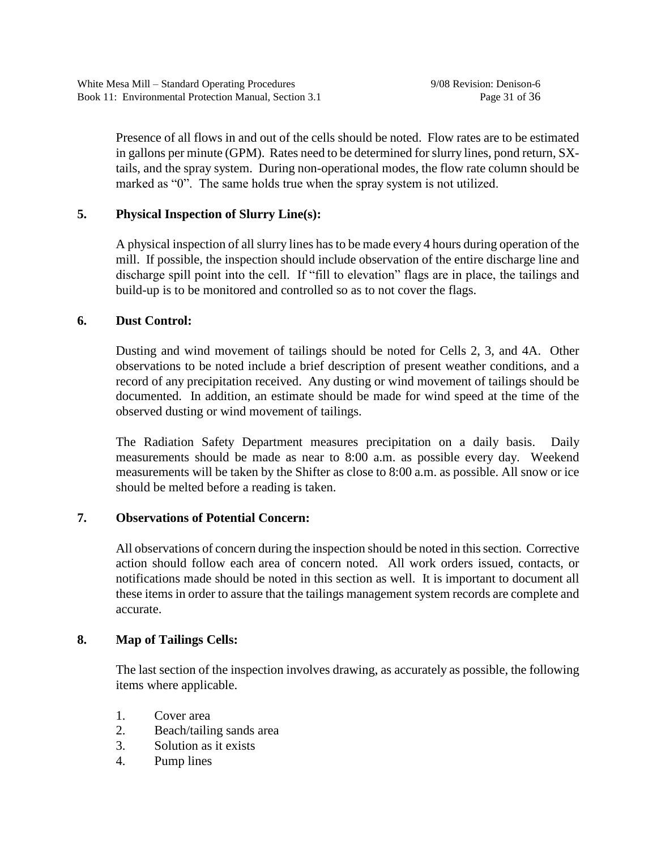Presence of all flows in and out of the cells should be noted. Flow rates are to be estimated in gallons per minute (GPM). Rates need to be determined for slurry lines, pond return, SXtails, and the spray system. During non-operational modes, the flow rate column should be marked as "0". The same holds true when the spray system is not utilized.

# **5. Physical Inspection of Slurry Line(s):**

A physical inspection of all slurry lines has to be made every 4 hours during operation of the mill. If possible, the inspection should include observation of the entire discharge line and discharge spill point into the cell. If "fill to elevation" flags are in place, the tailings and build-up is to be monitored and controlled so as to not cover the flags.

## **6. Dust Control:**

Dusting and wind movement of tailings should be noted for Cells 2, 3, and 4A. Other observations to be noted include a brief description of present weather conditions, and a record of any precipitation received. Any dusting or wind movement of tailings should be documented. In addition, an estimate should be made for wind speed at the time of the observed dusting or wind movement of tailings.

The Radiation Safety Department measures precipitation on a daily basis. Daily measurements should be made as near to 8:00 a.m. as possible every day. Weekend measurements will be taken by the Shifter as close to 8:00 a.m. as possible. All snow or ice should be melted before a reading is taken.

# **7. Observations of Potential Concern:**

All observations of concern during the inspection should be noted in this section. Corrective action should follow each area of concern noted. All work orders issued, contacts, or notifications made should be noted in this section as well. It is important to document all these items in order to assure that the tailings management system records are complete and accurate.

# **8. Map of Tailings Cells:**

The last section of the inspection involves drawing, as accurately as possible, the following items where applicable.

- 1. Cover area
- 2. Beach/tailing sands area
- 3. Solution as it exists
- 4. Pump lines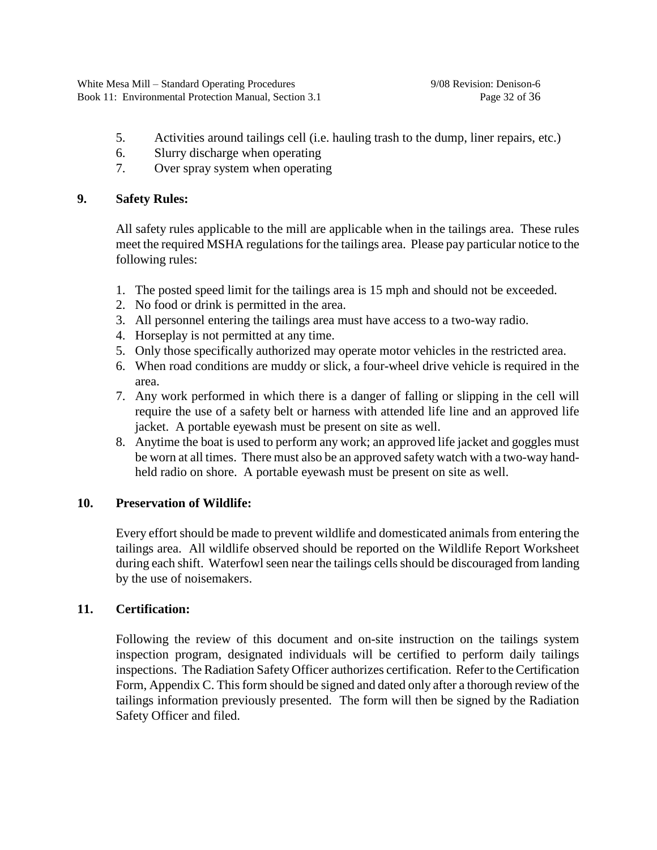- 5. Activities around tailings cell (i.e. hauling trash to the dump, liner repairs, etc.)
- 6. Slurry discharge when operating
- 7. Over spray system when operating

# **9. Safety Rules:**

All safety rules applicable to the mill are applicable when in the tailings area. These rules meet the required MSHA regulations for the tailings area. Please pay particular notice to the following rules:

- 1. The posted speed limit for the tailings area is 15 mph and should not be exceeded.
- 2. No food or drink is permitted in the area.
- 3. All personnel entering the tailings area must have access to a two-way radio.
- 4. Horseplay is not permitted at any time.
- 5. Only those specifically authorized may operate motor vehicles in the restricted area.
- 6. When road conditions are muddy or slick, a four-wheel drive vehicle is required in the area.
- 7. Any work performed in which there is a danger of falling or slipping in the cell will require the use of a safety belt or harness with attended life line and an approved life jacket. A portable eyewash must be present on site as well.
- 8. Anytime the boat is used to perform any work; an approved life jacket and goggles must be worn at all times. There must also be an approved safety watch with a two-way handheld radio on shore. A portable eyewash must be present on site as well.

# **10. Preservation of Wildlife:**

Every effort should be made to prevent wildlife and domesticated animals from entering the tailings area. All wildlife observed should be reported on the Wildlife Report Worksheet during each shift. Waterfowl seen near the tailings cells should be discouraged from landing by the use of noisemakers.

# **11. Certification:**

Following the review of this document and on-site instruction on the tailings system inspection program, designated individuals will be certified to perform daily tailings inspections. The Radiation Safety Officer authorizes certification. Refer to the Certification Form, Appendix C. This form should be signed and dated only after a thorough review of the tailings information previously presented. The form will then be signed by the Radiation Safety Officer and filed.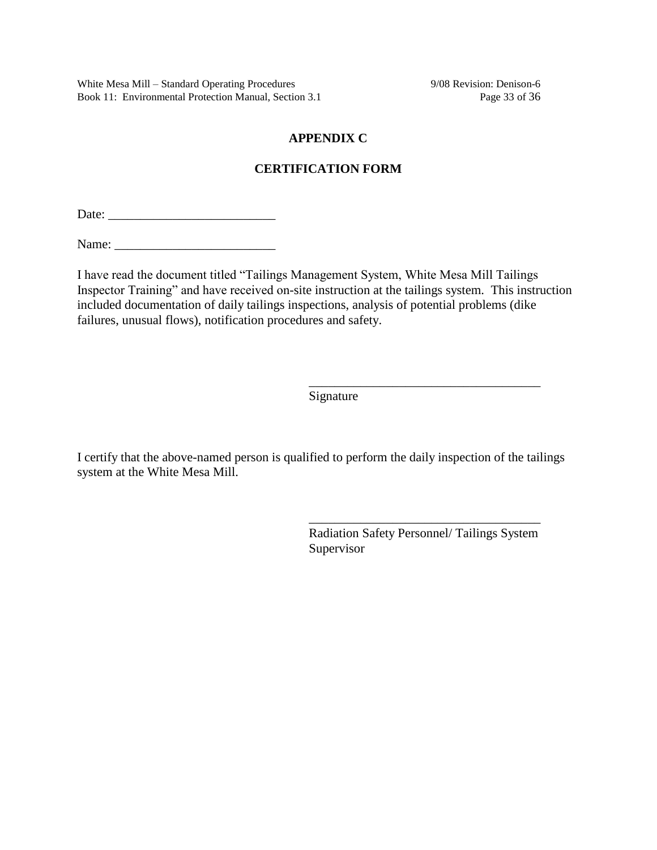White Mesa Mill – Standard Operating Procedures 9/08 Revision: Denison-6 Book 11: Environmental Protection Manual, Section 3.1 Page 33 of 36

## **APPENDIX C**

## **CERTIFICATION FORM**

Date: \_\_\_\_\_\_\_\_\_\_\_\_\_\_\_\_\_\_\_\_\_\_\_\_\_\_

Name:

I have read the document titled "Tailings Management System, White Mesa Mill Tailings Inspector Training" and have received on-site instruction at the tailings system. This instruction included documentation of daily tailings inspections, analysis of potential problems (dike failures, unusual flows), notification procedures and safety.

Signature

I certify that the above-named person is qualified to perform the daily inspection of the tailings system at the White Mesa Mill.

> Radiation Safety Personnel/ Tailings System Supervisor

> \_\_\_\_\_\_\_\_\_\_\_\_\_\_\_\_\_\_\_\_\_\_\_\_\_\_\_\_\_\_\_\_\_\_\_\_

\_\_\_\_\_\_\_\_\_\_\_\_\_\_\_\_\_\_\_\_\_\_\_\_\_\_\_\_\_\_\_\_\_\_\_\_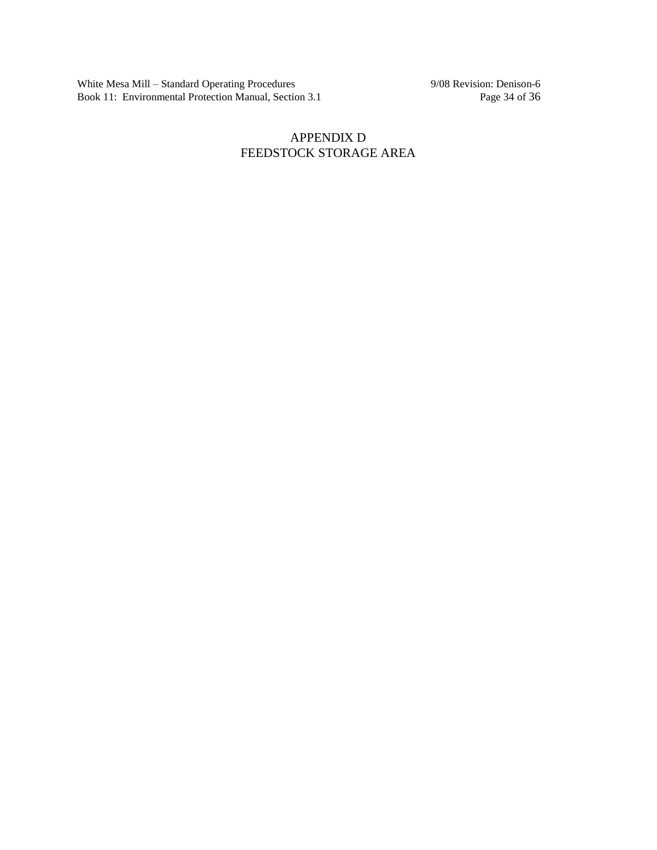White Mesa Mill – Standard Operating Procedures 9/08 Revision: Denison-6 Book 11: Environmental Protection Manual, Section 3.1 Page 34 of 36

# APPENDIX D FEEDSTOCK STORAGE AREA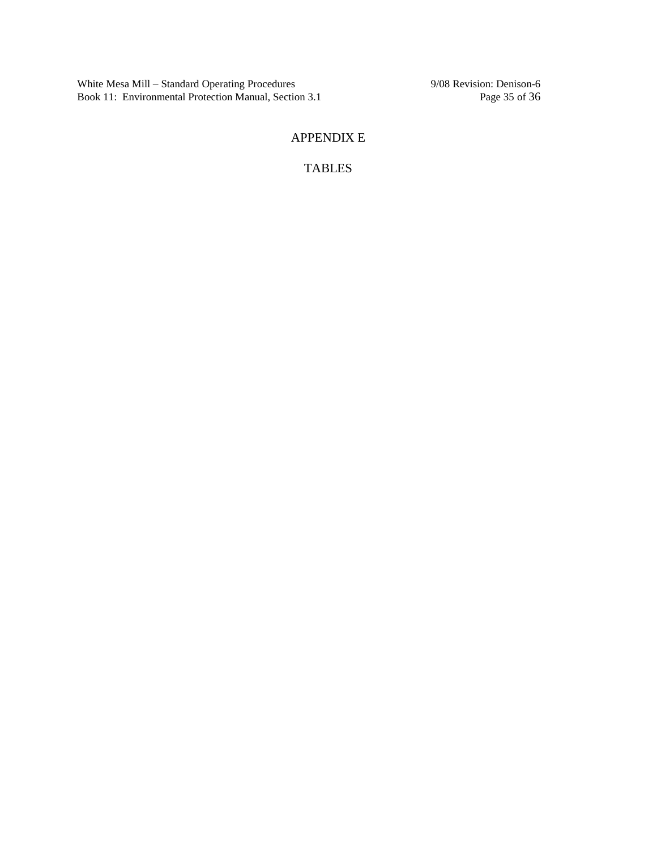White Mesa Mill – Standard Operating Procedures 9/08 Revision: Denison-6<br>Book 11: Environmental Protection Manual, Section 3.1 Page 35 of 36 Book 11: Environmental Protection Manual, Section 3.1

# APPENDIX E

TABLES